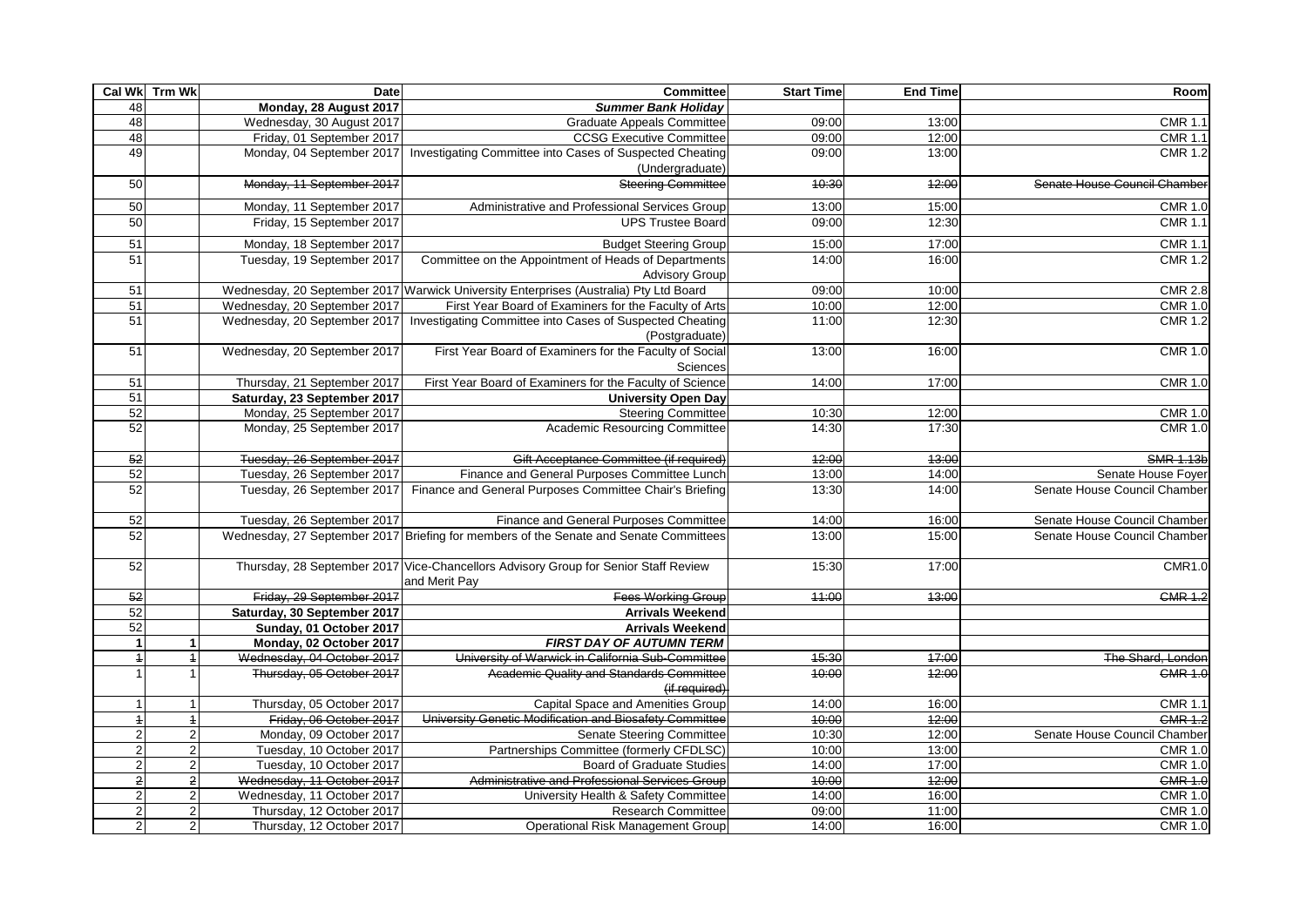|                 | Cal Wk Trm Wk           | Date                         | <b>Committee</b>                                                                                     | <b>Start Time</b> | <b>End Time</b> | Room                         |
|-----------------|-------------------------|------------------------------|------------------------------------------------------------------------------------------------------|-------------------|-----------------|------------------------------|
| 48              |                         | Monday, 28 August 2017       | <b>Summer Bank Holiday</b>                                                                           |                   |                 |                              |
| 48              |                         | Wednesday, 30 August 2017    | <b>Graduate Appeals Committee</b>                                                                    | 09:00             | 13:00           | <b>CMR 1.1</b>               |
| 48              |                         | Friday, 01 September 2017    | <b>CCSG Executive Committee</b>                                                                      | 09:00             | 12:00           | <b>CMR 1.1</b>               |
| 49              |                         | Monday, 04 September 2017    | Investigating Committee into Cases of Suspected Cheating<br>(Undergraduate)                          | 09:00             | 13:00           | <b>CMR 1.2</b>               |
| 50              |                         | Monday, 11 September 2017    | <b>Steering Committee</b>                                                                            | 40:30             | 42:00           | Senate House Council Chamber |
| 50              |                         | Monday, 11 September 2017    | Administrative and Professional Services Group                                                       | 13:00             | 15:00           | <b>CMR 1.0</b>               |
| 50              |                         | Friday, 15 September 2017    | <b>UPS Trustee Board</b>                                                                             | 09:00             | 12:30           | <b>CMR 1.1</b>               |
| 51              |                         | Monday, 18 September 2017    | <b>Budget Steering Group</b>                                                                         | 15:00             | 17:00           | <b>CMR 1.1</b>               |
| 51              |                         | Tuesday, 19 September 2017   | Committee on the Appointment of Heads of Departments                                                 | 14:00             | 16:00           | <b>CMR 1.2</b>               |
|                 |                         |                              | <b>Advisory Group</b>                                                                                |                   |                 |                              |
| 51              |                         |                              | Wednesday, 20 September 2017 Warwick University Enterprises (Australia) Pty Ltd Board                | 09:00             | 10:00           | <b>CMR 2.8</b>               |
| 51              |                         | Wednesday, 20 September 2017 | First Year Board of Examiners for the Faculty of Arts                                                | 10:00             | 12:00           | <b>CMR 1.0</b>               |
| 51              |                         | Wednesday, 20 September 2017 | Investigating Committee into Cases of Suspected Cheating<br>(Postgraduate)                           | 11:00             | 12:30           | <b>CMR 1.2</b>               |
| 51              |                         | Wednesday, 20 September 2017 | First Year Board of Examiners for the Faculty of Social<br>Sciences                                  | 13:00             | 16:00           | <b>CMR 1.0</b>               |
| 51              |                         | Thursday, 21 September 2017  | First Year Board of Examiners for the Faculty of Science                                             | 14:00             | 17:00           | <b>CMR 1.0</b>               |
| 51              |                         | Saturday, 23 September 2017  | <b>University Open Day</b>                                                                           |                   |                 |                              |
| 52              |                         | Monday, 25 September 2017    | <b>Steering Committee</b>                                                                            | 10:30             | 12:00           | <b>CMR 1.0</b>               |
| 52              |                         | Monday, 25 September 2017    | Academic Resourcing Committee                                                                        | 14:30             | 17:30           | <b>CMR 1.0</b>               |
| 52              |                         | Tuesday, 26 September 2017   | Gift Acceptance Committee (if required)                                                              | 42:00             | 43:00           | <b>SMR 1.13b</b>             |
| 52              |                         | Tuesday, 26 September 2017   | Finance and General Purposes Committee Lunch                                                         | 13:00             | 14:00           | Senate House Foyer           |
| 52              |                         | Tuesday, 26 September 2017   | Finance and General Purposes Committee Chair's Briefing                                              | 13:30             | 14:00           | Senate House Council Chamber |
| 52              |                         | Tuesday, 26 September 2017   | Finance and General Purposes Committee                                                               | 14:00             | 16:00           | Senate House Council Chamber |
| 52              |                         |                              | Wednesday, 27 September 2017 Briefing for members of the Senate and Senate Committees                | 13:00             | 15:00           | Senate House Council Chamber |
| 52              |                         |                              | Thursday, 28 September 2017 Vice-Chancellors Advisory Group for Senior Staff Review<br>and Merit Pay | 15:30             | 17:00           | CMR1.0                       |
| $\overline{52}$ |                         | Friday, 29 September 2017    | <b>Fees Working Group</b>                                                                            | 44:00             | 43:00           | <b>CMR 1.2</b>               |
| 52              |                         | Saturday, 30 September 2017  | <b>Arrivals Weekend</b>                                                                              |                   |                 |                              |
| 52              |                         | Sunday, 01 October 2017      | <b>Arrivals Weekend</b>                                                                              |                   |                 |                              |
| $\mathbf{1}$    | -1                      | Monday, 02 October 2017      | <b>FIRST DAY OF AUTUMN TERM</b>                                                                      |                   |                 |                              |
| $\overline{1}$  | $\overline{1}$          | Wednesday, 04 October 2017   | University of Warwick in California Sub-Committee                                                    | 15:30             | 47:00           | The Shard, London            |
| $\mathbf{1}$    | $\overline{\mathbf{1}}$ | Thursday, 05 October 2017    | Academic Quality and Standards Committee                                                             | 40:00             | 42:00           | <b>CMR 1.0</b>               |
|                 |                         |                              | (if required)                                                                                        |                   |                 |                              |
| $\overline{1}$  | $\overline{1}$          | Thursday, 05 October 2017    | Capital Space and Amenities Group                                                                    | 14:00             | 16:00           | <b>CMR 1.1</b>               |
| $\overline{1}$  | $\overline{1}$          | Friday, 06 October 2017      | University Genetic Modification and Biosafety Committee                                              | 40:00             | 42:00           | <b>CMR 1.2</b>               |
| $\overline{2}$  | $\overline{2}$          | Monday, 09 October 2017      | <b>Senate Steering Committee</b>                                                                     | 10:30             | 12:00           | Senate House Council Chamber |
| $\overline{2}$  | $\overline{2}$          | Tuesday, 10 October 2017     | Partnerships Committee (formerly CFDLSC)                                                             | 10:00             | 13:00           | <b>CMR 1.0</b>               |
| $\sqrt{2}$      | $\sqrt{2}$              | Tuesday, 10 October 2017     | <b>Board of Graduate Studies</b>                                                                     | 14:00             | 17:00           | <b>CMR 1.0</b>               |
| $\mathbf 2$     | $\overline{2}$          | Wednesday, 11 October 2017   | Administrative and Professional Services Group                                                       | 40:00             | 42:00           | <b>CMR 1.0</b>               |
| $\overline{c}$  | $\overline{2}$          | Wednesday, 11 October 2017   | University Health & Safety Committee                                                                 | 14:00             | 16:00           | <b>CMR 1.0</b>               |
| $\overline{c}$  | $\overline{2}$          | Thursday, 12 October 2017    | <b>Research Committee</b>                                                                            | 09:00             | 11:00           | <b>CMR 1.0</b>               |
| $\overline{2}$  | $\overline{2}$          | Thursday, 12 October 2017    | Operational Risk Management Group                                                                    | 14:00             | 16:00           | <b>CMR 1.0</b>               |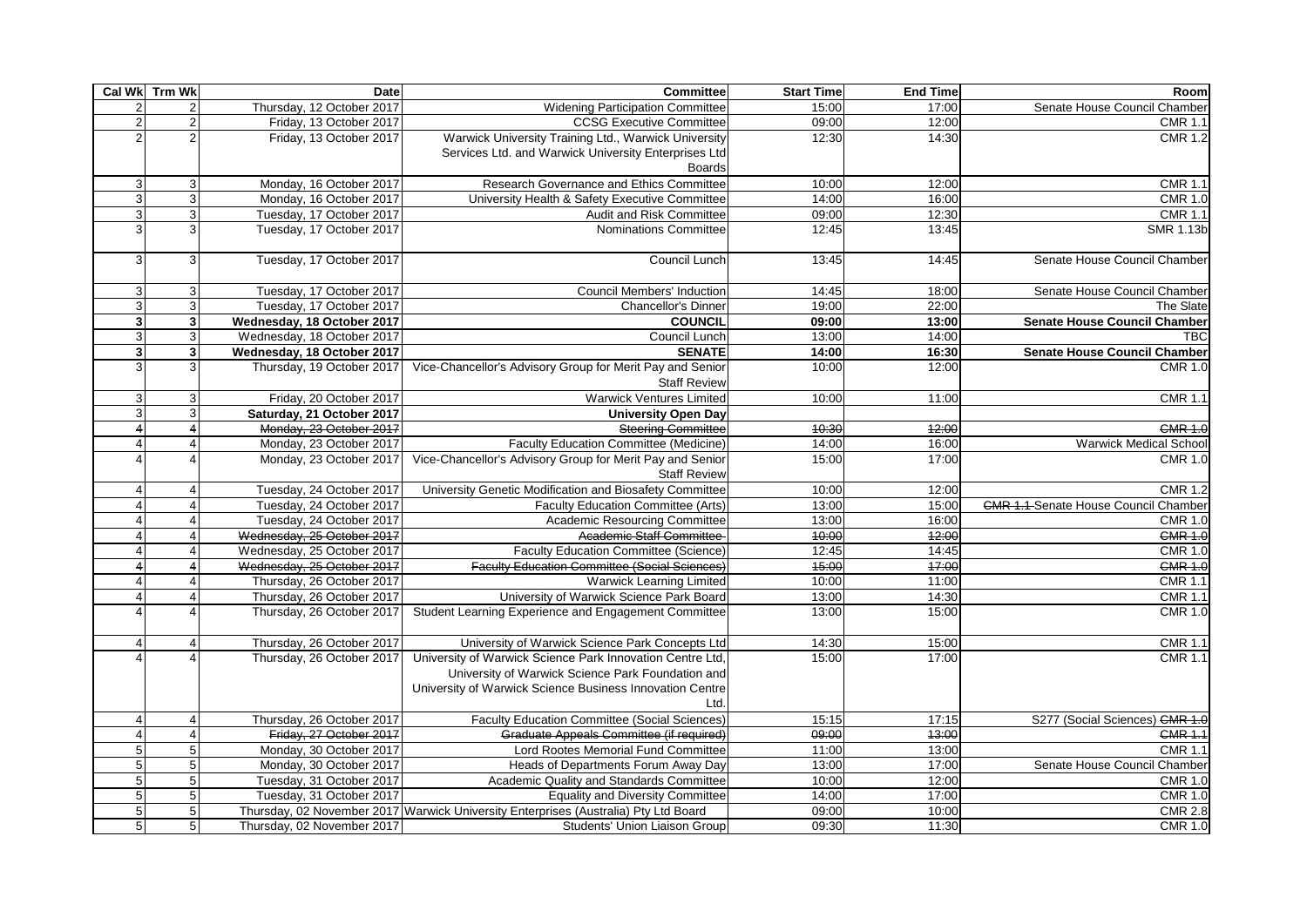|                       | Cal Wk Trm Wk  | Date                       | <b>Committee</b>                                                                                                                                                                   | <b>Start Time</b> | <b>End Time</b> | Room                                        |
|-----------------------|----------------|----------------------------|------------------------------------------------------------------------------------------------------------------------------------------------------------------------------------|-------------------|-----------------|---------------------------------------------|
| $\overline{a}$        | $\overline{c}$ | Thursday, 12 October 2017  | <b>Widening Participation Committee</b>                                                                                                                                            | 15:00             | 17:00           | Senate House Council Chamber                |
| $\overline{2}$        | $\overline{2}$ | Friday, 13 October 2017    | <b>CCSG Executive Committee</b>                                                                                                                                                    | 09:00             | 12:00           | <b>CMR 1.1</b>                              |
| 2                     |                | Friday, 13 October 2017    | Warwick University Training Ltd., Warwick University                                                                                                                               | 12:30             | 14:30           | <b>CMR 1.2</b>                              |
|                       |                |                            | Services Ltd. and Warwick University Enterprises Ltd                                                                                                                               |                   |                 |                                             |
|                       |                |                            | <b>Boards</b>                                                                                                                                                                      |                   |                 |                                             |
| 3                     | 3              | Monday, 16 October 2017    | Research Governance and Ethics Committee                                                                                                                                           | 10:00             | 12:00           | <b>CMR 1.1</b>                              |
| 3                     | $\mathbf{3}$   | Monday, 16 October 2017    | University Health & Safety Executive Committee                                                                                                                                     | 14:00             | 16:00           | <b>CMR 1.0</b>                              |
| 3                     | $\mathbf{3}$   | Tuesday, 17 October 2017   | Audit and Risk Committee                                                                                                                                                           | 09:00             | 12:30           | <b>CMR 1.1</b>                              |
| 3                     | 3              | Tuesday, 17 October 2017   | <b>Nominations Committee</b>                                                                                                                                                       | 12:45             | 13:45           | <b>SMR 1.13b</b>                            |
| 3                     | 3              | Tuesday, 17 October 2017   | Council Lunch                                                                                                                                                                      | 13:45             | 14:45           | Senate House Council Chamber                |
| 3                     | 3              | Tuesday, 17 October 2017   | <b>Council Members' Induction</b>                                                                                                                                                  | 14:45             | 18:00           | Senate House Council Chamber                |
| 3                     | $\overline{3}$ | Tuesday, 17 October 2017   | Chancellor's Dinner                                                                                                                                                                | 19:00             | 22:00           | The Slate                                   |
| $\mathbf{3}$          | 3 <sup>1</sup> | Wednesday, 18 October 2017 | <b>COUNCIL</b>                                                                                                                                                                     | 09:00             | 13:00           | <b>Senate House Council Chamber</b>         |
| 3                     | $\mathbf{3}$   | Wednesday, 18 October 2017 | Council Lunch                                                                                                                                                                      | 13:00             | 14:00           | <b>TBC</b>                                  |
| $\mathbf{3}$          | 3 <sup>1</sup> | Wednesday, 18 October 2017 | <b>SENATE</b>                                                                                                                                                                      | 14:00             | 16:30           | <b>Senate House Council Chamber</b>         |
| 3                     | 3              | Thursday, 19 October 2017  | Vice-Chancellor's Advisory Group for Merit Pay and Senior<br><b>Staff Review</b>                                                                                                   | 10:00             | 12:00           | <b>CMR 1.0</b>                              |
| 3                     |                | Friday, 20 October 2017    | <b>Warwick Ventures Limited</b>                                                                                                                                                    | 10:00             | 11:00           | <b>CMR 1.1</b>                              |
| 3                     |                | Saturday, 21 October 2017  | <b>University Open Day</b>                                                                                                                                                         |                   |                 |                                             |
|                       |                | Monday, 23 October 2017    | <b>Steering Committee</b>                                                                                                                                                          | 10:30             | 12:00           | <b>CMR 1.0</b>                              |
| 4                     |                | Monday, 23 October 2017    | Faculty Education Committee (Medicine)                                                                                                                                             | 14:00             | 16:00           | <b>Warwick Medical School</b>               |
|                       |                | Monday, 23 October 2017    | Vice-Chancellor's Advisory Group for Merit Pay and Senior<br><b>Staff Review</b>                                                                                                   | 15:00             | 17:00           | <b>CMR 1.0</b>                              |
| $\overline{4}$        |                | Tuesday, 24 October 2017   | University Genetic Modification and Biosafety Committee                                                                                                                            | 10:00             | 12:00           | <b>CMR 1.2</b>                              |
| $\overline{4}$        |                | Tuesday, 24 October 2017   | <b>Faculty Education Committee (Arts)</b>                                                                                                                                          | 13:00             | 15:00           | <b>CMR 1.1-Senate House Council Chamber</b> |
| $\overline{4}$        |                | Tuesday, 24 October 2017   | Academic Resourcing Committee                                                                                                                                                      | 13:00             | 16:00           | <b>CMR 1.0</b>                              |
| $\overline{4}$        |                | Wednesday, 25 October 2017 | <b>Academic Staff Committee</b>                                                                                                                                                    | 40:00             | 42:00           | <b>CMR 1.0</b>                              |
| $\overline{4}$        |                | Wednesday, 25 October 2017 | Faculty Education Committee (Science)                                                                                                                                              | 12:45             | 14:45           | <b>CMR 1.0</b>                              |
| $\boldsymbol{\Delta}$ |                | Wednesday, 25 October 2017 | <b>Faculty Education Committee (Social Sciences)</b>                                                                                                                               | 45:00             | 17:00           | <b>CMR 1.0</b>                              |
| $\boldsymbol{\Delta}$ |                | Thursday, 26 October 2017  | <b>Warwick Learning Limited</b>                                                                                                                                                    | 10:00             | 11:00           | <b>CMR 1.1</b>                              |
| $\overline{4}$        |                | Thursday, 26 October 2017  | University of Warwick Science Park Board                                                                                                                                           | 13:00             | 14:30           | <b>CMR 1.1</b>                              |
|                       |                | Thursday, 26 October 2017  | Student Learning Experience and Engagement Committee                                                                                                                               | 13:00             | 15:00           | <b>CMR 1.0</b>                              |
| $\overline{4}$        |                | Thursday, 26 October 2017  | University of Warwick Science Park Concepts Ltd                                                                                                                                    | 14:30             | 15:00           | <b>CMR 1.1</b>                              |
|                       |                | Thursday, 26 October 2017  | University of Warwick Science Park Innovation Centre Ltd,<br>University of Warwick Science Park Foundation and<br>University of Warwick Science Business Innovation Centre<br>Ltd. | 15:00             | 17:00           | <b>CMR 1.1</b>                              |
| 4                     |                | Thursday, 26 October 2017  | <b>Faculty Education Committee (Social Sciences)</b>                                                                                                                               | 15:15             | 17:15           | S277 (Social Sciences) CMR 1.0              |
|                       |                | Friday, 27 October 2017    | Graduate Appeals Committee (if required)                                                                                                                                           | 09:00             | 43:00           | <b>CMR 1.1</b>                              |
| 5                     |                | Monday, 30 October 2017    | Lord Rootes Memorial Fund Committee                                                                                                                                                | 11:00             | 13:00           | <b>CMR 1.1</b>                              |
| 5                     | 5              | Monday, 30 October 2017    | Heads of Departments Forum Away Day                                                                                                                                                | 13:00             | 17:00           | Senate House Council Chamber                |
| 5                     | 5              | Tuesday, 31 October 2017   | Academic Quality and Standards Committee                                                                                                                                           | 10:00             | 12:00           | <b>CMR 1.0</b>                              |
| $5\phantom{.0}$       | 5 <sub>1</sub> | Tuesday, 31 October 2017   | <b>Equality and Diversity Committee</b>                                                                                                                                            | 14:00             | 17:00           | <b>CMR 1.0</b>                              |
| $5\overline{)}$       | 5 <sub>1</sub> |                            | Thursday, 02 November 2017 Warwick University Enterprises (Australia) Pty Ltd Board                                                                                                | 09:00             | 10:00           | <b>CMR 2.8</b>                              |
| 5 <sup>1</sup>        | 5 <sub>1</sub> | Thursday, 02 November 2017 | Students' Union Liaison Group                                                                                                                                                      | 09:30             | 11:30           | <b>CMR 1.0</b>                              |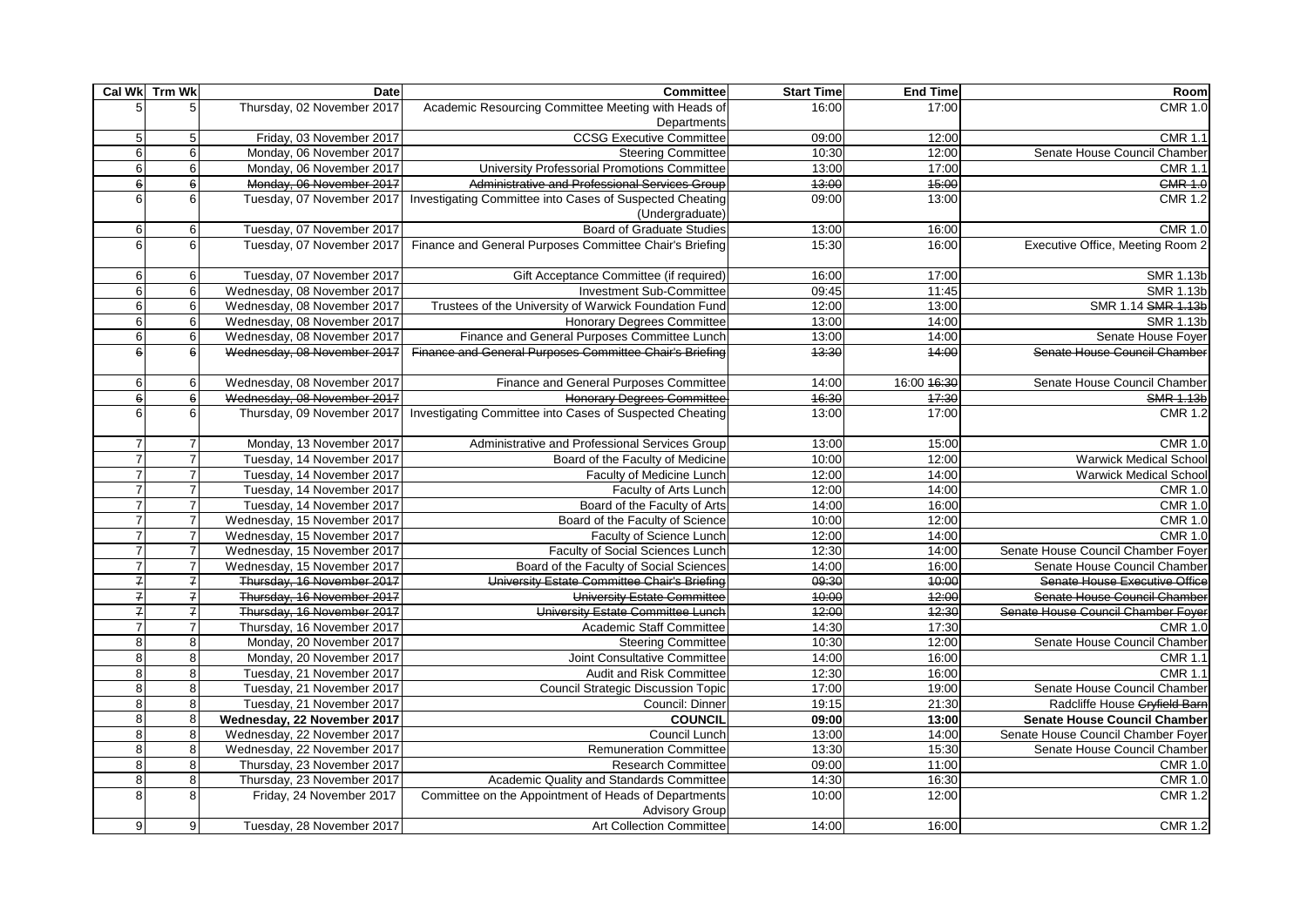|                 | Cal Wk Trm Wk    | Date                        | Committee                                                                     | <b>Start Time</b> | <b>End Time</b> | Room                               |
|-----------------|------------------|-----------------------------|-------------------------------------------------------------------------------|-------------------|-----------------|------------------------------------|
| 5               |                  | Thursday, 02 November 2017  | Academic Resourcing Committee Meeting with Heads of                           | 16:00             | 17:00           | <b>CMR 1.0</b>                     |
|                 |                  |                             | Departments                                                                   |                   |                 |                                    |
| 5               | 5                | Friday, 03 November 2017    | <b>CCSG Executive Committee</b>                                               | 09:00             | 12:00           | <b>CMR 1.1</b>                     |
| 6               | $6 \mid$         | Monday, 06 November 2017    | <b>Steering Committee</b>                                                     | 10:30             | 12:00           | Senate House Council Chamber       |
| 6               | 6                | Monday, 06 November 2017    | University Professorial Promotions Committee                                  | 13:00             | 17:00           | <b>CMR 1.1</b>                     |
| 6               | 6                | Monday, 06 November 2017    | Administrative and Professional Services Group                                | 43:00             | 45:00           | <b>CMR 1.0</b>                     |
| 6               | 6                | Tuesday, 07 November 2017   | Investigating Committee into Cases of Suspected Cheating                      | 09:00             | 13:00           | <b>CMR 1.2</b>                     |
|                 |                  |                             | (Undergraduate)                                                               |                   |                 |                                    |
| 6               | 6                | Tuesday, 07 November 2017   | <b>Board of Graduate Studies</b>                                              | 13:00             | 16:00           | <b>CMR 1.0</b>                     |
| 6               | 6                | Tuesday, 07 November 2017   | Finance and General Purposes Committee Chair's Briefing                       | 15:30             | 16:00           | Executive Office, Meeting Room 2   |
| 6               | 6                | Tuesday, 07 November 2017   | Gift Acceptance Committee (if required)                                       | 16:00             | 17:00           | <b>SMR 1.13b</b>                   |
| $6\phantom{1}6$ | $6 \mid$         | Wednesday, 08 November 2017 | <b>Investment Sub-Committee</b>                                               | 09:45             | 11:45           | <b>SMR 1.13b</b>                   |
| 6               | $6 \mid$         | Wednesday, 08 November 2017 | Trustees of the University of Warwick Foundation Fund                         | 12:00             | 13:00           | SMR 1.14 SMR 1.13b                 |
| 6               | $6 \overline{6}$ | Wednesday, 08 November 2017 | <b>Honorary Degrees Committee</b>                                             | 13:00             | 14:00           | <b>SMR 1.13b</b>                   |
| 6               | $6 \mid$         | Wednesday, 08 November 2017 | Finance and General Purposes Committee Lunch                                  | 13:00             | 14:00           | Senate House Foyer                 |
| 6               | $6 \theta$       | Wednesday, 08 November 2017 | Finance and General Purposes Committee Chair's Briefing                       | 43:30             | 44:00           | Senate House Council Chamber       |
| 6               | 6                | Wednesday, 08 November 2017 | Finance and General Purposes Committee                                        | 14:00             | 16:00 46:30     | Senate House Council Chamber       |
| $\mathbf 6$     | $6 \overline{6}$ | Wednesday, 08 November 2017 | <b>Honorary Degrees Committee</b>                                             | 16:30             | 17:30           | <b>SMR 1.13b</b>                   |
| 6               | 6                | Thursday, 09 November 2017  | Investigating Committee into Cases of Suspected Cheating                      | 13:00             | 17:00           | <b>CMR 1.2</b>                     |
| $\overline{7}$  | $\overline{7}$   | Monday, 13 November 2017    | Administrative and Professional Services Group                                | 13:00             | 15:00           | <b>CMR 1.0</b>                     |
| $\overline{7}$  |                  | Tuesday, 14 November 2017   | Board of the Faculty of Medicine                                              | 10:00             | 12:00           | <b>Warwick Medical School</b>      |
| $\overline{7}$  |                  | Tuesday, 14 November 2017   | <b>Faculty of Medicine Lunch</b>                                              | 12:00             | 14:00           | <b>Warwick Medical School</b>      |
| $\overline{7}$  | $\overline{7}$   | Tuesday, 14 November 2017   | Faculty of Arts Lunch                                                         | 12:00             | 14:00           | <b>CMR 1.0</b>                     |
| $\overline{7}$  | $\overline{7}$   | Tuesday, 14 November 2017   | Board of the Faculty of Arts                                                  | 14:00             | 16:00           | <b>CMR 1.0</b>                     |
| $\overline{7}$  | $\overline{7}$   | Wednesday, 15 November 2017 | Board of the Faculty of Science                                               | 10:00             | 12:00           | <b>CMR 1.0</b>                     |
| $\overline{7}$  | $\overline{7}$   | Wednesday, 15 November 2017 | Faculty of Science Lunch                                                      | 12:00             | 14:00           | <b>CMR 1.0</b>                     |
| $\overline{7}$  | $\overline{7}$   | Wednesday, 15 November 2017 | <b>Faculty of Social Sciences Lunch</b>                                       | 12:30             | 14:00           | Senate House Council Chamber Foyer |
| $\overline{7}$  |                  | Wednesday, 15 November 2017 | Board of the Faculty of Social Sciences                                       | 14:00             | 16:00           | Senate House Council Chamber       |
| $\overline{f}$  | $\overline{f}$   | Thursday, 16 November 2017  | University Estate Committee Chair's Briefing                                  | 09:30             | 40:00           | Senate House Executive Office      |
| $\overline{f}$  | $\overline{f}$   | Thursday, 16 November 2017  | <b>University Estate Committee</b>                                            | 40:00             | 42:00           | Senate House Council Chamber       |
| $\overline{f}$  | $\overline{f}$   | Thursday, 16 November 2017  | University Estate Committee Lunch                                             | 42:00             | 42:30           | Senate House Council Chamber Foyer |
| $\overline{7}$  | $\overline{7}$   | Thursday, 16 November 2017  | Academic Staff Committee                                                      | 14:30             | 17:30           | <b>CMR 1.0</b>                     |
| 8               | 8                | Monday, 20 November 2017    | <b>Steering Committee</b>                                                     | 10:30             | 12:00           | Senate House Council Chamber       |
| 8               | 8                | Monday, 20 November 2017    | Joint Consultative Committee                                                  | 14:00             | 16:00           | <b>CMR 1.1</b>                     |
| 8               | 8                | Tuesday, 21 November 2017   | <b>Audit and Risk Committee</b>                                               | 12:30             | 16:00           | <b>CMR 1.1</b>                     |
| 8               | 8 <sup>1</sup>   | Tuesday, 21 November 2017   | <b>Council Strategic Discussion Topic</b>                                     | 17:00             | 19:00           | Senate House Council Chamber       |
| 8               | 8 <sup>1</sup>   | Tuesday, 21 November 2017   | Council: Dinner                                                               | 19:15             | 21:30           | Radcliffe House Cryfield Barn      |
| 8               | 8                | Wednesday, 22 November 2017 | <b>COUNCIL</b>                                                                | 09:00             | 13:00           | Senate House Council Chamber       |
| 8               | 8                | Wednesday, 22 November 2017 | Council Lunch                                                                 | 13:00             | 14:00           | Senate House Council Chamber Foyer |
| 8               | 8                | Wednesday, 22 November 2017 | <b>Remuneration Committee</b>                                                 | 13:30             | 15:30           | Senate House Council Chamber       |
| 8               | 8                | Thursday, 23 November 2017  | <b>Research Committee</b>                                                     | 09:00             | 11:00           | <b>CMR 1.0</b>                     |
| 8               | 8                | Thursday, 23 November 2017  | Academic Quality and Standards Committee                                      | 14:30             | 16:30           | <b>CMR 1.0</b>                     |
| 8               | 8                | Friday, 24 November 2017    | Committee on the Appointment of Heads of Departments<br><b>Advisory Group</b> | 10:00             | 12:00           | <b>CMR 1.2</b>                     |
| 9               | 9                | Tuesday, 28 November 2017   | <b>Art Collection Committee</b>                                               | 14:00             | 16:00           | <b>CMR 1.2</b>                     |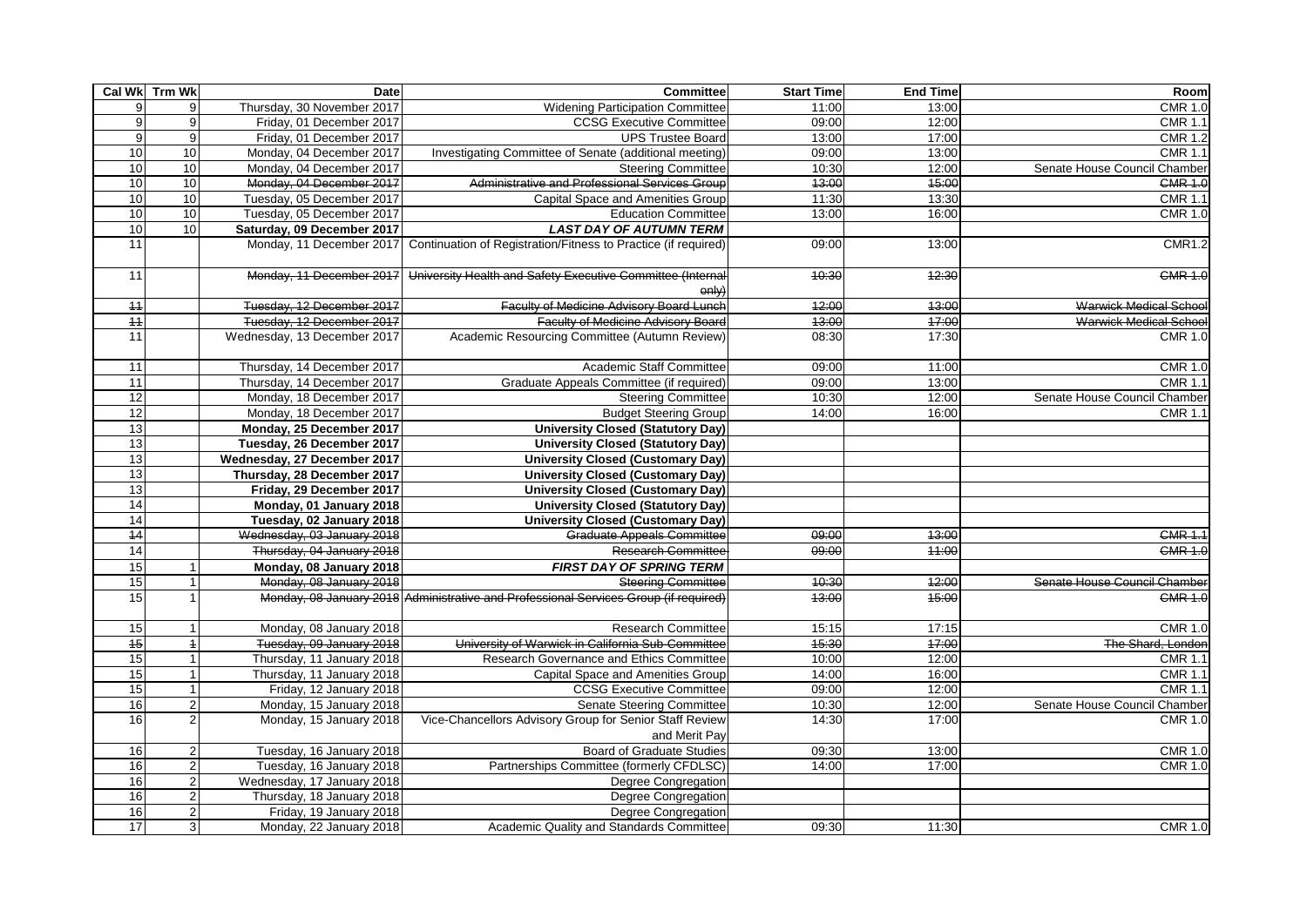|                 | Cal Wk Trm Wk  | Date                        | <b>Committee</b>                                                                     | <b>Start Time</b> | <b>End Time</b> | Room                          |
|-----------------|----------------|-----------------------------|--------------------------------------------------------------------------------------|-------------------|-----------------|-------------------------------|
| 9               | 9              | Thursday, 30 November 2017  | <b>Widening Participation Committee</b>                                              | 11:00             | 13:00           | <b>CMR 1.0</b>                |
| $\overline{9}$  | 9              | Friday, 01 December 2017    | <b>CCSG Executive Committee</b>                                                      | 09:00             | 12:00           | <b>CMR 1.1</b>                |
| 9               | 9              | Friday, 01 December 2017    | <b>UPS Trustee Board</b>                                                             | 13:00             | 17:00           | <b>CMR 1.2</b>                |
| 10              | 10             | Monday, 04 December 2017    | <b>Investigating Committee of Senate (additional meeting)</b>                        | 09:00             | 13:00           | <b>CMR 1.1</b>                |
| 10              | 10             | Monday, 04 December 2017    | <b>Steering Committee</b>                                                            | 10:30             | 12:00           | Senate House Council Chamber  |
| 10              | 10             | Monday, 04 December 2017    | Administrative and Professional Services Group                                       | 43:00             | 45:00           | <b>CMR 1.0</b>                |
| 10              | 10             | Tuesday, 05 December 2017   | <b>Capital Space and Amenities Group</b>                                             | 11:30             | 13:30           | <b>CMR 1.1</b>                |
| 10              | 10             | Tuesday, 05 December 2017   | <b>Education Committee</b>                                                           | 13:00             | 16:00           | <b>CMR 1.0</b>                |
| 10              | 10             | Saturday, 09 December 2017  | <b>LAST DAY OF AUTUMN TERM</b>                                                       |                   |                 |                               |
| 11              |                | Monday, 11 December 2017    | Continuation of Registration/Fitness to Practice (if required)                       | 09:00             | 13:00           | <b>CMR1.2</b>                 |
| 11              |                | Monday, 11 December 2017    | University Health and Safety Executive Committee (Internal<br>oniv)                  | 10:30             | 42:30           | <b>CMR 1.0</b>                |
| $+4$            |                | Tuesday, 12 December 2017   | Faculty of Medicine Advisory Board Lunch                                             | 42:00             | 43:00           | <b>Warwick Medical School</b> |
| $\overline{44}$ |                | Tuesday, 12 December 2017   | <b>Faculty of Medicine Advisory Board</b>                                            | 43:00             | 47:00           | Warwick Medical School        |
| 11              |                | Wednesday, 13 December 2017 | Academic Resourcing Committee (Autumn Review)                                        | 08:30             | 17:30           | <b>CMR 1.0</b>                |
| 11              |                | Thursday, 14 December 2017  | Academic Staff Committee                                                             | 09:00             | 11:00           | <b>CMR 1.0</b>                |
| 11              |                | Thursday, 14 December 2017  | Graduate Appeals Committee (if required)                                             | 09:00             | 13:00           | <b>CMR 1.1</b>                |
| 12              |                | Monday, 18 December 2017    | <b>Steering Committee</b>                                                            | 10:30             | 12:00           | Senate House Council Chamber  |
| 12              |                | Monday, 18 December 2017    | <b>Budget Steering Group</b>                                                         | 14:00             | 16:00           | <b>CMR 1.1</b>                |
| 13              |                | Monday, 25 December 2017    | <b>University Closed (Statutory Day)</b>                                             |                   |                 |                               |
| 13              |                | Tuesday, 26 December 2017   | <b>University Closed (Statutory Day)</b>                                             |                   |                 |                               |
| 13              |                | Wednesday, 27 December 2017 | <b>University Closed (Customary Day)</b>                                             |                   |                 |                               |
| 13              |                | Thursday, 28 December 2017  | <b>University Closed (Customary Day)</b>                                             |                   |                 |                               |
| 13              |                | Friday, 29 December 2017    | <b>University Closed (Customary Day)</b>                                             |                   |                 |                               |
| 14              |                | Monday, 01 January 2018     | <b>University Closed (Statutory Day)</b>                                             |                   |                 |                               |
| 14              |                | Tuesday, 02 January 2018    | <b>University Closed (Customary Day)</b>                                             |                   |                 |                               |
| $\overline{44}$ |                | Wednesday, 03 January 2018  | Graduate Appeals Committee                                                           | 09:00             | 43:00           | <b>CMR 1.1</b>                |
| 14              |                | Thursday, 04 January 2018   | <b>Research Committee</b>                                                            | 09:00             | 44:00           | <b>CMR 1.0</b>                |
| 15              |                | Monday, 08 January 2018     | <b>FIRST DAY OF SPRING TERM</b>                                                      |                   |                 |                               |
| 15              |                | Monday, 08 January 2018     | <b>Steering Committee</b>                                                            | 10:30             | 42:00           | Senate House Council Chamber  |
| 15              |                |                             | Monday, 08 January 2018 Administrative and Professional Services Group (if required) | 43:00             | 45:00           | <b>CMR 1.0</b>                |
| 15              | $\mathbf 1$    | Monday, 08 January 2018     | <b>Research Committee</b>                                                            | 15:15             | 17:15           | <b>CMR 1.0</b>                |
| $\overline{45}$ | $\overline{1}$ | Tuesday, 09 January 2018    | University of Warwick in California Sub-Committee                                    | 45:30             | 47:00           | The Shard, London             |
| 15              | $\overline{1}$ | Thursday, 11 January 2018   | Research Governance and Ethics Committee                                             | 10:00             | 12:00           | <b>CMR 1.1</b>                |
| 15              | $\overline{1}$ | Thursday, 11 January 2018   | <b>Capital Space and Amenities Group</b>                                             | 14:00             | 16:00           | <b>CMR 1.1</b>                |
| 15              | $\mathbf{1}$   | Friday, 12 January 2018     | <b>CCSG Executive Committee</b>                                                      | 09:00             | 12:00           | <b>CMR 1.1</b>                |
| 16              | $\overline{2}$ | Monday, 15 January 2018     | <b>Senate Steering Committee</b>                                                     | 10:30             | 12:00           | Senate House Council Chamber  |
| 16              | $\overline{2}$ | Monday, 15 January 2018     | Vice-Chancellors Advisory Group for Senior Staff Review<br>and Merit Pay             | 14:30             | 17:00           | <b>CMR 1.0</b>                |
| 16              | 2              | Tuesday, 16 January 2018    | <b>Board of Graduate Studies</b>                                                     | 09:30             | 13:00           | <b>CMR 1.0</b>                |
| 16              | 2 <sub>1</sub> | Tuesday, 16 January 2018    | Partnerships Committee (formerly CFDLSC)                                             | 14:00             | 17:00           | <b>CMR 1.0</b>                |
| 16              | 2 <sup>1</sup> | Wednesday, 17 January 2018  | Degree Congregation                                                                  |                   |                 |                               |
| 16              | 2 <sub>1</sub> | Thursday, 18 January 2018   | Degree Congregation                                                                  |                   |                 |                               |
| 16              | $\overline{2}$ | Friday, 19 January 2018     | <b>Degree Congregation</b>                                                           |                   |                 |                               |
| 17              | 3 <sup>1</sup> | Monday, 22 January 2018     | Academic Quality and Standards Committee                                             | 09:30             | 11:30           | <b>CMR 1.0</b>                |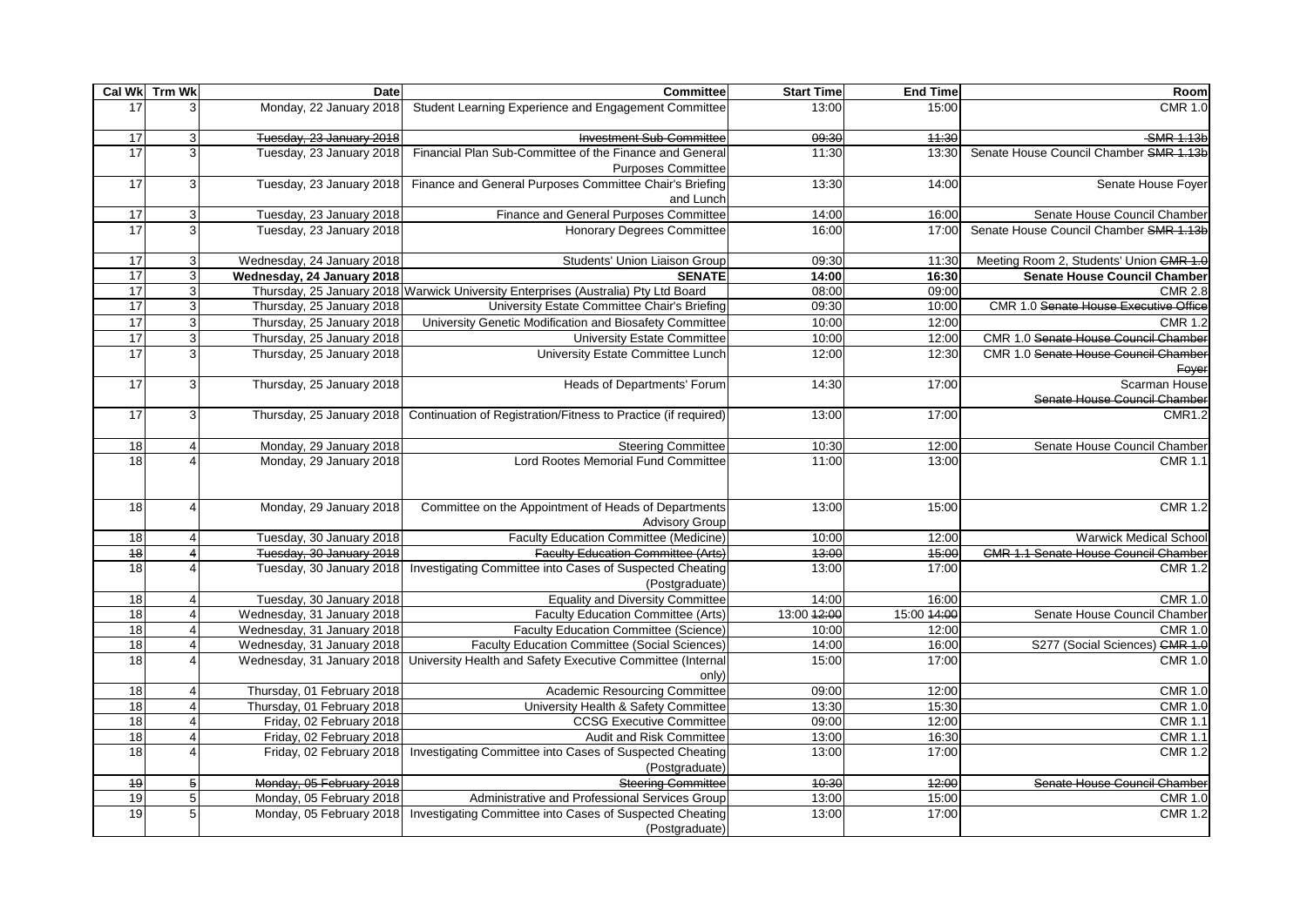|                 | Cal Wk Trm Wk           | <b>Date</b>                | <b>Committee</b>                                                                                      | <b>Start Time</b> | <b>End Time</b> | Room                                          |
|-----------------|-------------------------|----------------------------|-------------------------------------------------------------------------------------------------------|-------------------|-----------------|-----------------------------------------------|
| 17              |                         | Monday, 22 January 2018    | Student Learning Experience and Engagement Committee                                                  | 13:00             | 15:00           | <b>CMR 1.0</b>                                |
| 17              |                         | Tuesday, 23 January 2018   | <b>Investment Sub-Committee</b>                                                                       | 09:30             | 44:30           | -SMR 1.13b                                    |
| 17              | 3                       | Tuesday, 23 January 2018   | Financial Plan Sub-Committee of the Finance and General<br><b>Purposes Committee</b>                  | 11:30             | 13:30           | Senate House Council Chamber SMR 1.13b        |
| 17              | 3                       | Tuesday, 23 January 2018   | Finance and General Purposes Committee Chair's Briefing<br>and Lunch                                  | 13:30             | 14:00           | Senate House Foyer                            |
| 17              | 3                       | Tuesday, 23 January 2018   | Finance and General Purposes Committee                                                                | 14:00             | 16:00           | Senate House Council Chamber                  |
| $\overline{17}$ | 3                       | Tuesday, 23 January 2018   | <b>Honorary Degrees Committee</b>                                                                     | 16:00             | 17:00           | Senate House Council Chamber SMR 1.13b        |
| 17              | $\mathbf{3}$            | Wednesday, 24 January 2018 | Students' Union Liaison Group                                                                         | 09:30             | 11:30           | Meeting Room 2, Students' Union CMR 1.0       |
| 17              | $\overline{3}$          | Wednesday, 24 January 2018 | <b>SENATE</b>                                                                                         | 14:00             | 16:30           | <b>Senate House Council Chamber</b>           |
| 17              | $\overline{3}$          |                            | Thursday, 25 January 2018 Warwick University Enterprises (Australia) Pty Ltd Board                    | 08:00             | 09:00           | <b>CMR 2.8</b>                                |
| 17              | $\overline{3}$          | Thursday, 25 January 2018  | University Estate Committee Chair's Briefing                                                          | 09:30             | 10:00           | CMR 1.0 Senate House Executive Office         |
| 17              | $\overline{3}$          | Thursday, 25 January 2018  | University Genetic Modification and Biosafety Committee                                               | 10:00             | 12:00           | <b>CMR 1.2</b>                                |
| 17              | $\overline{3}$          | Thursday, 25 January 2018  | University Estate Committee                                                                           | 10:00             | 12:00           | CMR 1.0 Senate House Council Chamber          |
| $\overline{17}$ | $\overline{3}$          | Thursday, 25 January 2018  | University Estate Committee Lunch                                                                     | 12:00             | 12:30           | CMR 1.0 Senate House Council Chamber<br>Foyer |
| 17              | 3                       | Thursday, 25 January 2018  | Heads of Departments' Forum                                                                           | 14:30             | 17:00           | Scarman House<br>Senate House Council Chamber |
| 17              |                         |                            | Thursday, 25 January 2018 Continuation of Registration/Fitness to Practice (if required)              | 13:00             | 17:00           | <b>CMR1.2</b>                                 |
| 18              |                         | Monday, 29 January 2018    | <b>Steering Committee</b>                                                                             | 10:30             | 12:00           | Senate House Council Chamber                  |
| 18              |                         | Monday, 29 January 2018    | Lord Rootes Memorial Fund Committee                                                                   | 11:00             | 13:00           | <b>CMR 1.1</b>                                |
| 18              |                         | Monday, 29 January 2018    | Committee on the Appointment of Heads of Departments<br><b>Advisory Group</b>                         | 13:00             | 15:00           | <b>CMR 1.2</b>                                |
| 18              |                         | Tuesday, 30 January 2018   | <b>Faculty Education Committee (Medicine)</b>                                                         | 10:00             | 12:00           | <b>Warwick Medical School</b>                 |
| $\overline{48}$ |                         | Tuesday, 30 January 2018   | <b>Faculty Education Committee (Arts)</b>                                                             | 43:00             | 45:00           | <b>CMR 1.1 Senate House Council Chamber</b>   |
| 18              |                         |                            | Tuesday, 30 January 2018   Investigating Committee into Cases of Suspected Cheating<br>(Postgraduate) | 13:00             | 17:00           | <b>CMR 1.2</b>                                |
| 18              |                         | Tuesday, 30 January 2018   | <b>Equality and Diversity Committee</b>                                                               | 14:00             | 16:00           | <b>CMR 1.0</b>                                |
| 18              |                         | Wednesday, 31 January 2018 | Faculty Education Committee (Arts)                                                                    | 13:00 12:00       | 15:00 44:00     | Senate House Council Chamber                  |
| 18              |                         | Wednesday, 31 January 2018 | <b>Faculty Education Committee (Science)</b>                                                          | 10:00             | 12:00           | <b>CMR 1.0</b>                                |
| $\overline{18}$ | $\overline{\mathbf{A}}$ | Wednesday, 31 January 2018 | <b>Faculty Education Committee (Social Sciences)</b>                                                  | 14:00             | 16:00           | S277 (Social Sciences) CMR 1.0                |
| 18              |                         |                            | Wednesday, 31 January 2018 University Health and Safety Executive Committee (Internal<br>only)        | 15:00             | 17:00           | <b>CMR 1.0</b>                                |
| 18              |                         | Thursday, 01 February 2018 | Academic Resourcing Committee                                                                         | 09:00             | 12:00           | <b>CMR 1.0</b>                                |
| $\overline{18}$ |                         | Thursday, 01 February 2018 | University Health & Safety Committee                                                                  | 13:30             | 15:30           | <b>CMR 1.0</b>                                |
| $\overline{18}$ |                         | Friday, 02 February 2018   | <b>CCSG Executive Committee</b>                                                                       | 09:00             | 12:00           | <b>CMR 1.1</b>                                |
| 18              |                         | Friday, 02 February 2018   | Audit and Risk Committee                                                                              | 13:00             | 16:30           | <b>CMR 1.1</b>                                |
| 18              |                         |                            | Friday, 02 February 2018 Investigating Committee into Cases of Suspected Cheating<br>(Postgraduate)   | 13:00             | 17:00           | <b>CMR 1.2</b>                                |
| <del>19</del>   | 5 <sub>5</sub>          | Monday, 05 February 2018   | <b>Steering Committee</b>                                                                             | 10:30             | 42:00           | Senate House Council Chamber                  |
| 19              | 5 <sup>1</sup>          | Monday, 05 February 2018   | Administrative and Professional Services Group                                                        | 13:00             | 15:00           | <b>CMR 1.0</b>                                |
| 19              | 5 <sub>1</sub>          |                            | Monday, 05 February 2018   Investigating Committee into Cases of Suspected Cheating<br>(Postgraduate) | 13:00             | 17:00           | <b>CMR 1.2</b>                                |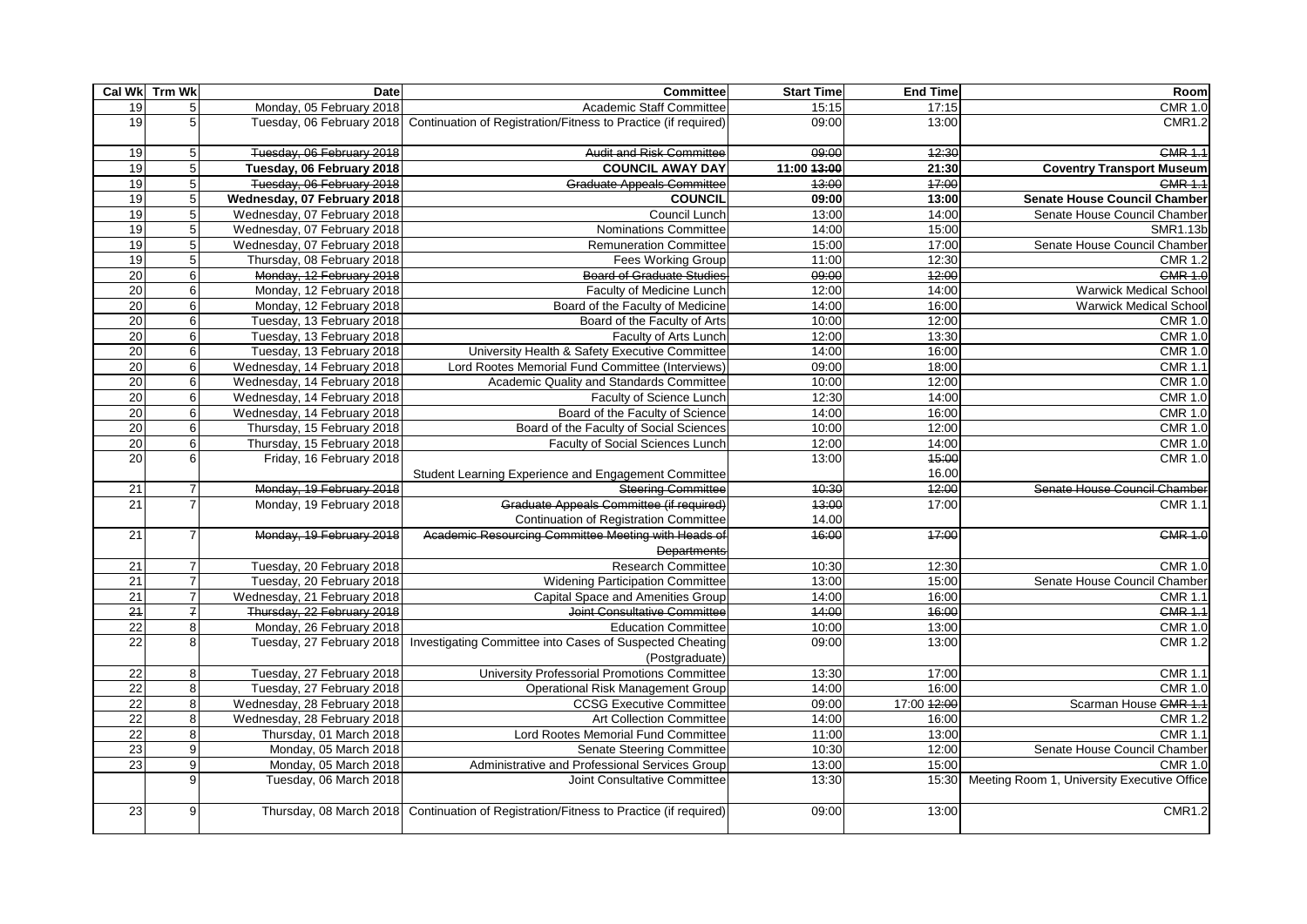|                                    | Cal Wk Trm Wk                  | Date                                                   | <b>Committee</b>                                                                         | <b>Start Time</b> | <b>End Time</b> | Room                                        |
|------------------------------------|--------------------------------|--------------------------------------------------------|------------------------------------------------------------------------------------------|-------------------|-----------------|---------------------------------------------|
| 19                                 | 5                              | Monday, 05 February 2018                               | Academic Staff Committee                                                                 | 15:15             | 17:15           | <b>CMR 1.0</b>                              |
| 19                                 | 5                              |                                                        | Tuesday, 06 February 2018 Continuation of Registration/Fitness to Practice (if required) | 09:00             | 13:00           | <b>CMR1.2</b>                               |
| 19                                 | 5 <sub>l</sub>                 | Tuesday, 06 February 2018                              | <b>Audit and Risk Committee</b>                                                          | 09:00             | 42:30           | <b>CMR 1.1</b>                              |
| 19                                 | 5 <sub>l</sub>                 | Tuesday, 06 February 2018                              | <b>COUNCIL AWAY DAY</b>                                                                  | 11:00 13:00       | 21:30           | <b>Coventry Transport Museum</b>            |
| 19                                 | 5 <sup>1</sup>                 | Tuesday, 06 February 2018                              | <b>Graduate Appeals Committee</b>                                                        | 43:00             | 47:00           | <b>CMR 1.1</b>                              |
| 19                                 | 5 <sub>1</sub>                 | Wednesday, 07 February 2018                            | <b>COUNCIL</b>                                                                           | 09:00             | 13:00           | <b>Senate House Council Chamber</b>         |
| 19                                 | 5 <sup>1</sup>                 | Wednesday, 07 February 2018                            | Council Lunch                                                                            | 13:00             | 14:00           | Senate House Council Chamber                |
| 19                                 | 5 <sup>1</sup>                 | Wednesday, 07 February 2018                            | <b>Nominations Committee</b>                                                             | 14:00             | 15:00           | <b>SMR1.13b</b>                             |
| 19                                 | 5 <sup>1</sup>                 | Wednesday, 07 February 2018                            | <b>Remuneration Committee</b>                                                            | 15:00             | 17:00           | Senate House Council Chamber                |
| 19                                 | 5 <sup>1</sup>                 | Thursday, 08 February 2018                             | <b>Fees Working Group</b>                                                                | 11:00             | 12:30           | <b>CMR 1.2</b>                              |
| $\overline{20}$                    | $6 \mid$                       | Monday, 12 February 2018                               | <b>Board of Graduate Studies</b>                                                         | 09:00             | 12:00           | <b>GMR 1.0</b>                              |
| 20                                 | 6                              | Monday, 12 February 2018                               | Faculty of Medicine Lunch                                                                | 12:00             | 14:00           | <b>Warwick Medical School</b>               |
| 20                                 | $6 \mid$                       | Monday, 12 February 2018                               | Board of the Faculty of Medicine                                                         | 14:00             | 16:00           | <b>Warwick Medical School</b>               |
| 20                                 | 6                              | Tuesday, 13 February 2018                              | Board of the Faculty of Arts                                                             | 10:00             | 12:00           | $\overline{CMR}$ 1.0                        |
| $\overline{20}$                    | 6                              | Tuesday, 13 February 2018                              | Faculty of Arts Lunch                                                                    | 12:00             | 13:30           | <b>CMR 1.0</b>                              |
| 20                                 | $6 \overline{6}$               | Tuesday, 13 February 2018                              | University Health & Safety Executive Committee                                           | 14:00             | 16:00           | <b>CMR 1.0</b>                              |
| 20                                 | 6 <sup>1</sup>                 | Wednesday, 14 February 2018                            | Lord Rootes Memorial Fund Committee (Interviews)                                         | 09:00             | 18:00           | <b>CMR 1.1</b>                              |
| 20                                 | 6 <sup>1</sup>                 | Wednesday, 14 February 2018                            | Academic Quality and Standards Committee                                                 | 10:00             | 12:00           | <b>CMR 1.0</b>                              |
| 20                                 | 6 <sup>1</sup>                 | Wednesday, 14 February 2018                            | Faculty of Science Lunch                                                                 | 12:30             | 14:00           | <b>CMR 1.0</b>                              |
| 20                                 | 6 <sup>1</sup>                 | Wednesday, 14 February 2018                            | Board of the Faculty of Science                                                          | 14:00             | 16:00           | <b>CMR 1.0</b>                              |
| 20                                 | 6 <sup>1</sup>                 | Thursday, 15 February 2018                             | Board of the Faculty of Social Sciences                                                  | 10:00             | 12:00           | <b>CMR 1.0</b>                              |
| 20                                 | 6 <sup>1</sup>                 | Thursday, 15 February 2018                             | <b>Faculty of Social Sciences Lunch</b>                                                  | 12:00             | 14:00           | <b>CMR 1.0</b>                              |
| 20                                 | $6 \mid$                       | Friday, 16 February 2018                               |                                                                                          | 13:00             | 45:00           | <b>CMR 1.0</b>                              |
|                                    |                                |                                                        | Student Learning Experience and Engagement Committee                                     |                   | 16.00           |                                             |
| $\overline{21}$                    | $\overline{7}$                 | Monday, 19 February 2018                               | <b>Steering Committee</b>                                                                | 40:30             | 42:00           | Senate House Council Chamber                |
| 21                                 | $\overline{7}$                 | Monday, 19 February 2018                               | Graduate Appeals Committee (if required)                                                 | 43:00             | 17:00           | <b>CMR 1.1</b>                              |
|                                    |                                |                                                        | <b>Continuation of Registration Committee</b>                                            | 14.00             |                 |                                             |
| 21                                 |                                | Monday, 19 February 2018                               | Academic Resourcing Committee Meeting with Heads of                                      | 46:00             | 47:00           | <b>CMR 1.0</b>                              |
|                                    |                                |                                                        | <b>Departments</b>                                                                       |                   |                 |                                             |
| 21                                 | $\overline{7}$                 | Tuesday, 20 February 2018                              | <b>Research Committee</b>                                                                | 10:30             | 12:30           | <b>CMR 1.0</b>                              |
| 21                                 | $\overline{7}$                 | Tuesday, 20 February 2018                              | <b>Widening Participation Committee</b>                                                  | 13:00             | 15:00           | Senate House Council Chamber                |
| $\overline{21}$                    | $\overline{7}$                 | Wednesday, 21 February 2018                            | Capital Space and Amenities Group                                                        | 14:00             | 16:00           | <b>CMR 1.1</b>                              |
| 24                                 | $\overline{f}$                 | Thursday, 22 February 2018                             | Joint Consultative Committee                                                             | 44:00             | 16:00           | <b>CMR 1.1</b>                              |
| 22                                 | 8 <sup>1</sup>                 | Monday, 26 February 2018                               | <b>Education Committee</b>                                                               | 10:00             | 13:00           | <b>CMR 1.0</b>                              |
| 22                                 | 8                              |                                                        | Tuesday, 27 February 2018 Investigating Committee into Cases of Suspected Cheating       | 09:00             | 13:00           | <b>CMR 1.2</b>                              |
|                                    |                                |                                                        | (Postgraduate)                                                                           |                   |                 |                                             |
| $\overline{22}$                    | 8 <sup>1</sup>                 | Tuesday, 27 February 2018                              | University Professorial Promotions Committee                                             | 13:30             | 17:00           | <b>CMR 1.1</b><br><b>CMR 1.0</b>            |
| 22                                 | 8 <sup>1</sup>                 | Tuesday, 27 February 2018                              | <b>Operational Risk Management Group</b>                                                 | 14:00             | 16:00           |                                             |
| $\overline{22}$                    | 8 <sup>1</sup><br>$\mathbf{8}$ | Wednesday, 28 February 2018                            | <b>CCSG Executive Committee</b>                                                          | 09:00             | 17:00 42:00     | Scarman House GMR 1.1                       |
| $\overline{22}$<br>$\overline{22}$ | $\mathbf{8}$                   | Wednesday, 28 February 2018<br>Thursday, 01 March 2018 | <b>Art Collection Committee</b><br>Lord Rootes Memorial Fund Committee                   | 14:00<br>11:00    | 16:00<br>13:00  | <b>CMR 1.2</b><br><b>CMR 1.1</b>            |
| 23                                 | $\overline{9}$                 | Monday, 05 March 2018                                  | <b>Senate Steering Committee</b>                                                         | 10:30             | 12:00           | Senate House Council Chamber                |
| 23                                 | $\mathsf{g}$                   | Monday, 05 March 2018                                  | Administrative and Professional Services Group                                           | 13:00             | 15:00           | <b>CMR 1.0</b>                              |
|                                    | $\mathbf{Q}$                   | Tuesday, 06 March 2018                                 | Joint Consultative Committee                                                             | 13:30             | 15:30           | Meeting Room 1, University Executive Office |
|                                    |                                |                                                        |                                                                                          |                   |                 |                                             |
| 23                                 | 9                              |                                                        | Thursday, 08 March 2018 Continuation of Registration/Fitness to Practice (if required)   | 09:00             | 13:00           | <b>CMR1.2</b>                               |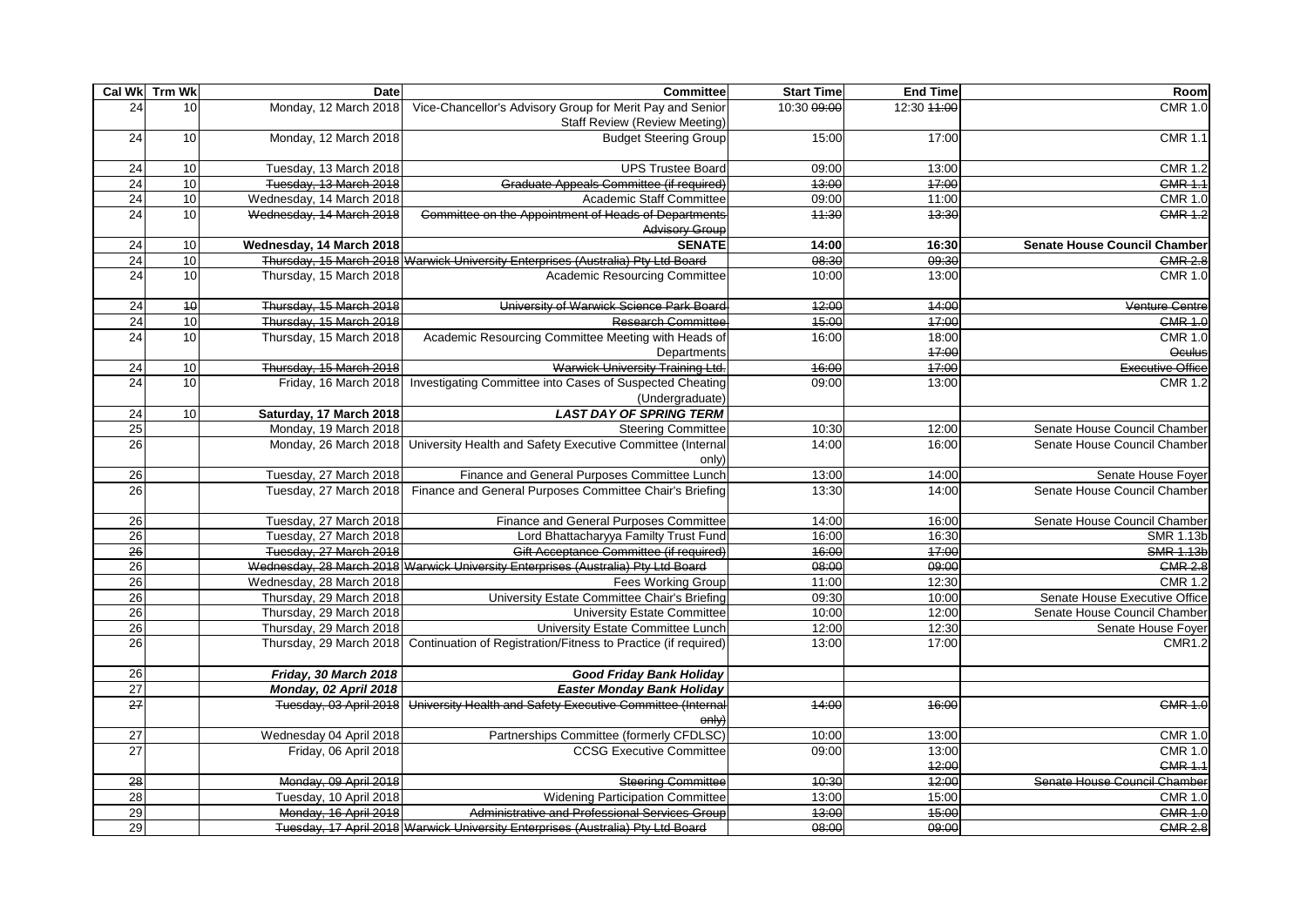|                 | Cal Wk Trm Wk   | Date                     | <b>Committee</b>                                                                                  | <b>Start Time</b> | <b>End Time</b> | Room                                |
|-----------------|-----------------|--------------------------|---------------------------------------------------------------------------------------------------|-------------------|-----------------|-------------------------------------|
| 24              | 10              | Monday, 12 March 2018    | Vice-Chancellor's Advisory Group for Merit Pay and Senior<br><b>Staff Review (Review Meeting)</b> | 10:30 09:00       | 12:30 44:00     | <b>CMR 1.0</b>                      |
| 24              | 10              | Monday, 12 March 2018    | <b>Budget Steering Group</b>                                                                      | 15:00             | 17:00           | <b>CMR 1.1</b>                      |
| 24              | 10              | Tuesday, 13 March 2018   | <b>UPS Trustee Board</b>                                                                          | 09:00             | 13:00           | <b>CMR 1.2</b>                      |
| 24              | 10              | Tuesday, 13 March 2018   | Graduate Appeals Committee (if required)                                                          | 43:00             | 47:00           | <b>CMR 1.1</b>                      |
| 24              | 10              | Wednesday, 14 March 2018 | Academic Staff Committee                                                                          | 09:00             | 11:00           | CMR 1.0                             |
| 24              | 10              | Wednesday, 14 March 2018 | Committee on the Appointment of Heads of Departments<br><b>Advisory Group</b>                     | 44:30             | 43:30           | <b>CMR 1.2</b>                      |
| $\overline{24}$ | 10              | Wednesday, 14 March 2018 | <b>SENATE</b>                                                                                     | 14:00             | 16:30           | <b>Senate House Council Chamber</b> |
| 24              | 10              |                          | Thursday, 15 March 2018 Warwick University Enterprises (Australia) Pty Ltd Board                  | 08:30             | 09:30           | <b>CMR 2.8</b>                      |
| 24              | 10              | Thursday, 15 March 2018  | <b>Academic Resourcing Committee</b>                                                              | 10:00             | 13:00           | <b>CMR 1.0</b>                      |
| 24              | $\overline{40}$ | Thursday, 15 March 2018  | University of Warwick Science Park Board                                                          | 12:00             | 44:00           | Venture Centre                      |
| 24              | 10              | Thursday, 15 March 2018  | <b>Research Committee</b>                                                                         | 45:00             | 47:00           | <b>CMR 1.0</b>                      |
| 24              | 10              | Thursday, 15 March 2018  | Academic Resourcing Committee Meeting with Heads of                                               | 16:00             | 18:00           | <b>CMR 1.0</b>                      |
|                 |                 |                          | Departments                                                                                       |                   | 47:00           | Oculus                              |
| $\overline{24}$ | 10              | Thursday, 15 March 2018  | Warwick University Training Ltd.                                                                  | 16:00             | 17:00           | Executive Office                    |
| 24              | 10              | Friday, 16 March 2018    | Investigating Committee into Cases of Suspected Cheating<br>(Undergraduate)                       | 09:00             | 13:00           | <b>CMR 1.2</b>                      |
| $\overline{24}$ | 10              | Saturday, 17 March 2018  | <b>LAST DAY OF SPRING TERM</b>                                                                    |                   |                 |                                     |
| $\overline{25}$ |                 | Monday, 19 March 2018    | <b>Steering Committee</b>                                                                         | 10:30             | 12:00           | Senate House Council Chamber        |
| 26              |                 |                          | Monday, 26 March 2018 University Health and Safety Executive Committee (Internal<br>only)         | 14:00             | 16:00           | Senate House Council Chamber        |
| 26              |                 | Tuesday, 27 March 2018   | Finance and General Purposes Committee Lunch                                                      | 13:00             | 14:00           | Senate House Foyer                  |
| 26              |                 | Tuesday, 27 March 2018   | Finance and General Purposes Committee Chair's Briefing                                           | 13:30             | 14:00           | Senate House Council Chamber        |
| 26              |                 | Tuesday, 27 March 2018   | Finance and General Purposes Committee                                                            | 14:00             | 16:00           | Senate House Council Chamber        |
| 26              |                 | Tuesday, 27 March 2018   | Lord Bhattacharyya Familty Trust Fund                                                             | 16:00             | 16:30           | SMR 1.13b                           |
| 26              |                 | Tuesday, 27 March 2018   | Gift Acceptance Committee (if required)                                                           | 46:00             | 47:00           | <b>SMR 1.13b</b>                    |
| 26              |                 |                          | Wednesday, 28 March 2018 Warwick University Enterprises (Australia) Pty Ltd Board                 | 08:00             | 09:00           | <b>CMR 2.8</b>                      |
| 26              |                 | Wednesday, 28 March 2018 | <b>Fees Working Group</b>                                                                         | 11:00             | 12:30           | <b>CMR 1.2</b>                      |
| 26              |                 | Thursday, 29 March 2018  | University Estate Committee Chair's Briefing                                                      | 09:30             | 10:00           | Senate House Executive Office       |
| 26              |                 | Thursday, 29 March 2018  | <b>University Estate Committee</b>                                                                | 10:00             | 12:00           | Senate House Council Chamber        |
| 26              |                 | Thursday, 29 March 2018  | University Estate Committee Lunch                                                                 | 12:00             | 12:30           | Senate House Foyer                  |
| 26              |                 |                          | Thursday, 29 March 2018 Continuation of Registration/Fitness to Practice (if required)            | 13:00             | 17:00           | <b>CMR1.2</b>                       |
| 26              |                 | Friday, 30 March 2018    | <b>Good Friday Bank Holiday</b>                                                                   |                   |                 |                                     |
| 27              |                 | Monday, 02 April 2018    | <b>Easter Monday Bank Holiday</b>                                                                 |                   |                 |                                     |
| $\overline{27}$ |                 | Tuesday, 03 April 2018   | University Health and Safety Executive Committee (Internal<br>only)                               | 44:00             | 46:00           | <b>CMR 1.0</b>                      |
| 27              |                 | Wednesday 04 April 2018  | Partnerships Committee (formerly CFDLSC)                                                          | 10:00             | 13:00           | <b>CMR 1.0</b>                      |
| 27              |                 | Friday, 06 April 2018    | <b>CCSG Executive Committee</b>                                                                   | 09:00             | 13:00           | <b>CMR 1.0</b>                      |
|                 |                 |                          |                                                                                                   |                   | 42:00           | <b>CMR 1.1</b>                      |
| $\overline{28}$ |                 | Monday, 09 April 2018    | <b>Steering Committee</b>                                                                         | 10:30             | 42:00           | Senate House Council Chamber        |
| 28              |                 | Tuesday, 10 April 2018   | <b>Widening Participation Committee</b>                                                           | 13:00             | 15:00           | <b>CMR 1.0</b>                      |
| 29              |                 | Monday, 16 April 2018    | Administrative and Professional Services Group                                                    | 43:00             | 45:00           | <b>CMR 1.0</b>                      |
| 29              |                 |                          | Tuesday, 17 April 2018 Warwick University Enterprises (Australia) Pty Ltd Board                   | 08:00             | 09:00           | <b>CMR 2.8</b>                      |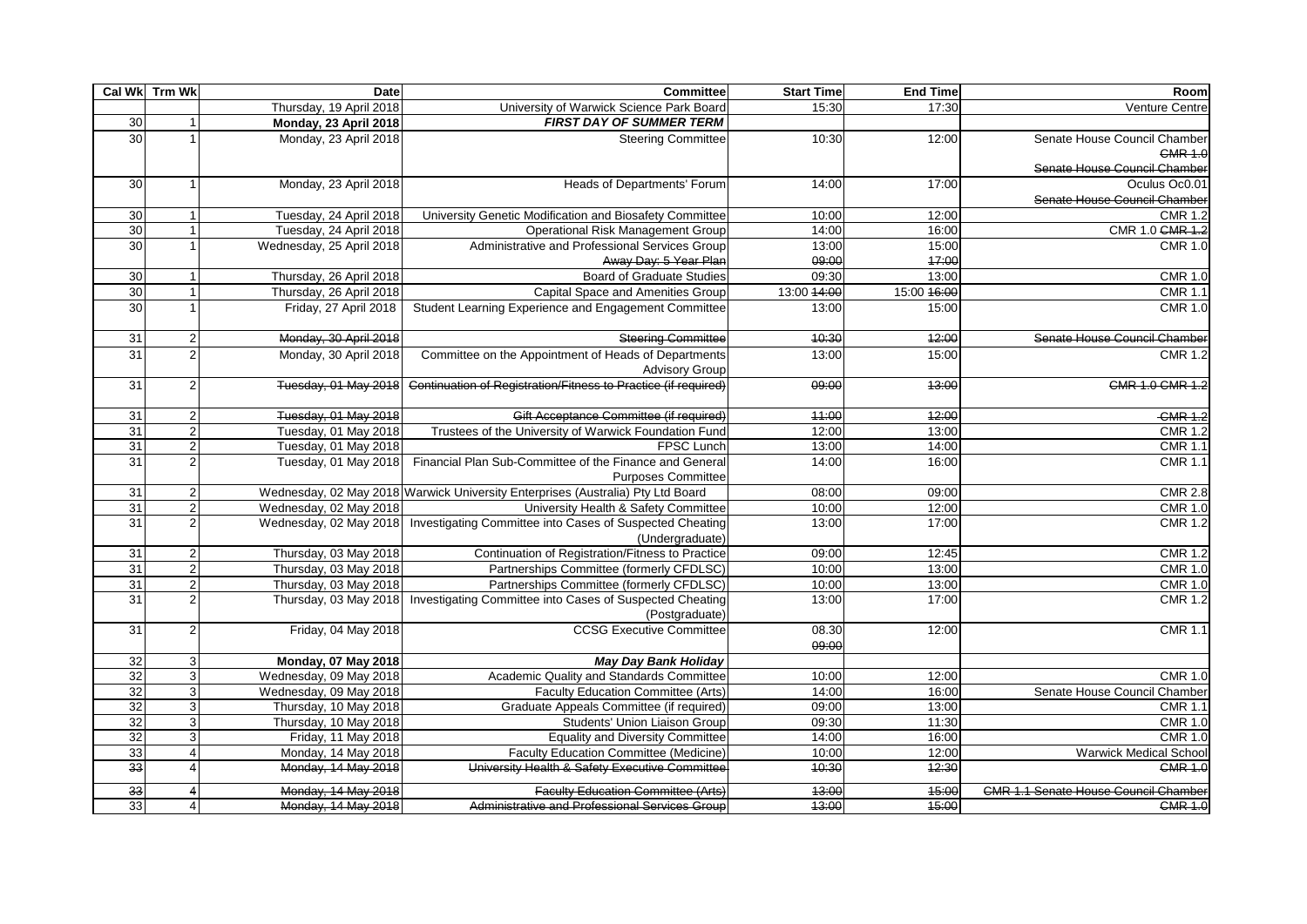|                 | Cal Wk Trm Wk  | Date                       | Committee                                                                       | <b>Start Time</b> | <b>End Time</b> | Room                                        |
|-----------------|----------------|----------------------------|---------------------------------------------------------------------------------|-------------------|-----------------|---------------------------------------------|
|                 |                | Thursday, 19 April 2018    | University of Warwick Science Park Board                                        | 15:30             | 17:30           | Venture Centre                              |
| 30              |                | Monday, 23 April 2018      | <b>FIRST DAY OF SUMMER TERM</b>                                                 |                   |                 |                                             |
| 30              |                | Monday, 23 April 2018      | <b>Steering Committee</b>                                                       | 10:30             | 12:00           | Senate House Council Chamber                |
|                 |                |                            |                                                                                 |                   |                 | <b>CMR 1.0</b>                              |
|                 |                |                            |                                                                                 |                   |                 | Senate House Council Chamber                |
| 30              |                | Monday, 23 April 2018      | Heads of Departments' Forum                                                     | 14:00             | 17:00           | Oculus Oc0.01                               |
|                 |                |                            |                                                                                 |                   |                 | Senate House Council Chamber                |
| 30              | $\overline{1}$ | Tuesday, 24 April 2018     | University Genetic Modification and Biosafety Committee                         | 10:00             | 12:00           | <b>CMR 1.2</b>                              |
| 30              | $\overline{1}$ | Tuesday, 24 April 2018     | Operational Risk Management Group                                               | 14:00             | 16:00           | CMR 1.0 GMR 1.2                             |
| 30              |                | Wednesday, 25 April 2018   | Administrative and Professional Services Group                                  | 13:00             | 15:00           | <b>CMR 1.0</b>                              |
|                 |                |                            | Away Day: 5 Year Plan                                                           | 09:00             | 17:00           |                                             |
| $\overline{30}$ |                | Thursday, 26 April 2018    | <b>Board of Graduate Studies</b>                                                | 09:30             | 13:00           | <b>CMR 1.0</b>                              |
| 30              |                | Thursday, 26 April 2018    | Capital Space and Amenities Group                                               | 13:00 14:00       | 15:00 16:00     | <b>CMR 1.1</b>                              |
| 30              |                | Friday, 27 April 2018      | Student Learning Experience and Engagement Committee                            | 13:00             | 15:00           | <b>CMR 1.0</b>                              |
|                 |                |                            |                                                                                 |                   |                 |                                             |
| 31              | 2              | Monday, 30 April 2018      | <b>Steering Committee</b>                                                       | 10:30             | 42:00           | Senate House Council Chamber                |
| 31              | $\mathcal{P}$  | Monday, 30 April 2018      | Committee on the Appointment of Heads of Departments                            | 13:00             | 15:00           | <b>CMR 1.2</b>                              |
|                 |                |                            | <b>Advisory Group</b>                                                           |                   |                 |                                             |
| 31              | $\mathfrak{p}$ | Tuesday, 01 May 2018       | Continuation of Registration/Fitness to Practice (if required)                  | 09:00             | 43:00           | CMR 1.0 CMR 1.2                             |
|                 |                |                            |                                                                                 |                   |                 |                                             |
| 31              | $\overline{2}$ | Tuesday, 01 May 2018       | Gift Acceptance Committee (if required)                                         | 44:00             | 42:00           | -CMR 1.2                                    |
| 31              |                | Tuesday, 01 May 2018       | Trustees of the University of Warwick Foundation Fund                           | 12:00             | 13:00           | <b>CMR 1.2</b>                              |
| 31              | 2              | Tuesday, 01 May 2018       | <b>FPSC Lunch</b>                                                               | 13:00             | 14:00           | <b>CMR 1.1</b>                              |
| $\overline{31}$ | $\mathcal{P}$  | Tuesday, 01 May 2018       | Financial Plan Sub-Committee of the Finance and General                         | 14:00             | 16:00           | <b>CMR 1.1</b>                              |
|                 |                |                            | <b>Purposes Committee</b>                                                       |                   |                 |                                             |
| $\overline{31}$ |                |                            | Wednesday, 02 May 2018 Warwick University Enterprises (Australia) Pty Ltd Board | 08:00             | 09:00           | <b>CMR 2.8</b>                              |
| 31              | 2              | Wednesday, 02 May 2018     | University Health & Safety Committee                                            | 10:00             | 12:00           | <b>CMR 1.0</b>                              |
| 31              | 2              |                            | Wednesday, 02 May 2018 Investigating Committee into Cases of Suspected Cheating | 13:00             | 17:00           | <b>CMR 1.2</b>                              |
|                 |                |                            | (Undergraduate)                                                                 |                   |                 |                                             |
| 31              | $\overline{2}$ | Thursday, 03 May 2018      | Continuation of Registration/Fitness to Practice                                | 09:00             | 12:45           | <b>CMR 1.2</b>                              |
| 31              | $\overline{2}$ | Thursday, 03 May 2018      | Partnerships Committee (formerly CFDLSC)                                        | 10:00             | 13:00           | <b>CMR 1.0</b>                              |
| 31              | 2              | Thursday, 03 May 2018      | Partnerships Committee (formerly CFDLSC)                                        | 10:00             | 13:00           | <b>CMR 1.0</b>                              |
| 31              | $\overline{2}$ |                            | Thursday, 03 May 2018 Investigating Committee into Cases of Suspected Cheating  | 13:00             | 17:00           | <b>CMR 1.2</b>                              |
|                 |                |                            | (Postgraduate)                                                                  |                   |                 |                                             |
| 31              | 2              | Friday, 04 May 2018        | <b>CCSG Executive Committee</b>                                                 | 08.30             | 12:00           | <b>CMR 1.1</b>                              |
|                 |                |                            |                                                                                 | 09:00             |                 |                                             |
| 32              | 3              | <b>Monday, 07 May 2018</b> | <b>May Day Bank Holiday</b>                                                     |                   |                 |                                             |
| 32              | $\overline{3}$ | Wednesday, 09 May 2018     | Academic Quality and Standards Committee                                        | 10:00             | 12:00           | <b>CMR 1.0</b>                              |
| $\overline{32}$ | 3              | Wednesday, 09 May 2018     | Faculty Education Committee (Arts)                                              | 14:00             | 16:00           | Senate House Council Chamber                |
| 32              | 3              | Thursday, 10 May 2018      | Graduate Appeals Committee (if required)                                        | 09:00             | 13:00           | <b>CMR 1.1</b>                              |
| 32              | 3              | Thursday, 10 May 2018      | Students' Union Liaison Group                                                   | 09:30             | 11:30           | <b>CMR 1.0</b>                              |
| 32              | 3              | Friday, 11 May 2018        | <b>Equality and Diversity Committee</b>                                         | 14:00             | 16:00           | <b>CMR 1.0</b>                              |
| 33              | 4              | Monday, 14 May 2018        | <b>Faculty Education Committee (Medicine)</b>                                   | 10:00             | 12:00           | <b>Warwick Medical School</b>               |
| 33              |                | Monday, 14 May 2018        | University Health & Safety Executive Committee                                  | 40:30             | 42:30           | <b>CMR 1.0</b>                              |
| $\overline{33}$ |                | Monday, 14 May 2018        | <b>Faculty Education Committee (Arts)</b>                                       | 43:00             | 45:00           | <b>CMR 1.1 Senate House Council Chamber</b> |
| 33              | $\overline{4}$ | Monday, 14 May 2018        | Administrative and Professional Services Group                                  | 43:00             | 45:00           | <b>GMR 1.0</b>                              |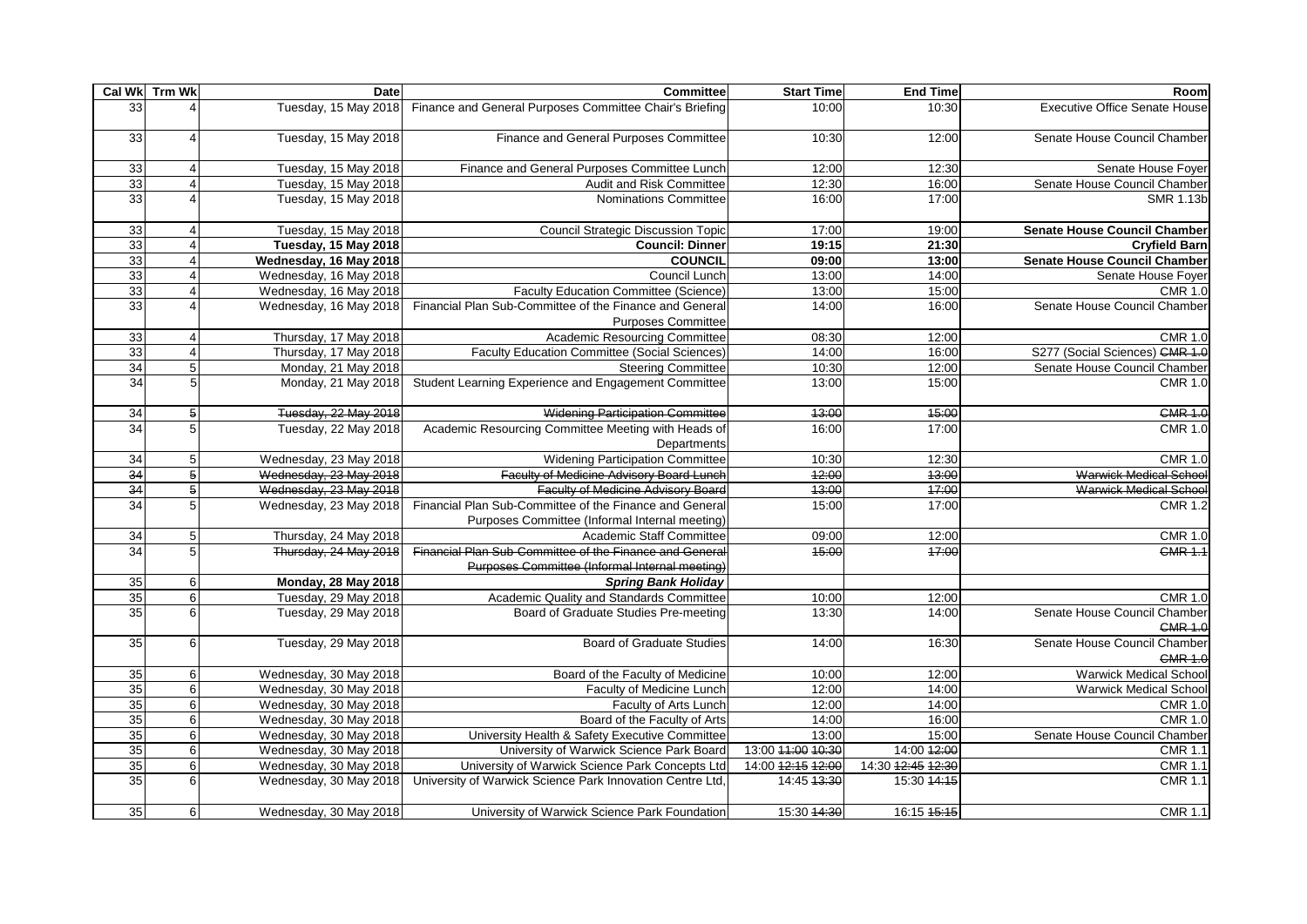|                 | Cal Wk Trm Wk    | Date                       | Committee                                                                            | <b>Start Time</b> | <b>End Time</b>   | Room                                           |
|-----------------|------------------|----------------------------|--------------------------------------------------------------------------------------|-------------------|-------------------|------------------------------------------------|
| 33              |                  | Tuesday, 15 May 2018       | Finance and General Purposes Committee Chair's Briefing                              | 10:00             | 10:30             | <b>Executive Office Senate House</b>           |
| 33              |                  | Tuesday, 15 May 2018       | Finance and General Purposes Committee                                               | 10:30             | 12:00             | Senate House Council Chamber                   |
| 33              |                  | Tuesday, 15 May 2018       | Finance and General Purposes Committee Lunch                                         | 12:00             | 12:30             | Senate House Foyer                             |
| 33              |                  | Tuesday, 15 May 2018       | Audit and Risk Committee                                                             | 12:30             | 16:00             | Senate House Council Chamber                   |
| 33              |                  | Tuesday, 15 May 2018       | Nominations Committee                                                                | 16:00             | 17:00             | <b>SMR 1.13b</b>                               |
| 33              |                  | Tuesday, 15 May 2018       | <b>Council Strategic Discussion Topic</b>                                            | 17:00             | 19:00             | <b>Senate House Council Chamber</b>            |
| 33              |                  | Tuesday, 15 May 2018       | <b>Council: Dinner</b>                                                               | 19:15             | 21:30             | <b>Cryfield Barn</b>                           |
| 33              |                  | Wednesday, 16 May 2018     | <b>COUNCIL</b>                                                                       | 09:00             | 13:00             | <b>Senate House Council Chamber</b>            |
| 33              |                  | Wednesday, 16 May 2018     | Council Lunch                                                                        | 13:00             | 14:00             | Senate House Foyer                             |
| 33              |                  | Wednesday, 16 May 2018     | <b>Faculty Education Committee (Science)</b>                                         | 13:00             | 15:00             | <b>CMR 1.0</b>                                 |
| 33              |                  | Wednesday, 16 May 2018     | Financial Plan Sub-Committee of the Finance and General<br><b>Purposes Committee</b> | 14:00             | 16:00             | Senate House Council Chamber                   |
| 33              |                  | Thursday, 17 May 2018      | Academic Resourcing Committee                                                        | 08:30             | 12:00             | <b>CMR 1.0</b>                                 |
| 33              |                  | Thursday, 17 May 2018      | <b>Faculty Education Committee (Social Sciences)</b>                                 | 14:00             | 16:00             | S277 (Social Sciences) CMR 1.0                 |
| 34              | 5                | Monday, 21 May 2018        | <b>Steering Committee</b>                                                            | 10:30             | 12:00             | Senate House Council Chamber                   |
| 34              |                  | Monday, 21 May 2018        | Student Learning Experience and Engagement Committee                                 | 13:00             | 15:00             | <b>CMR 1.0</b>                                 |
| 34              | $\overline{5}$   | Tuesday, 22 May 2018       | <b>Widening Participation Committee</b>                                              | 43:00             | 45:00             | <b>CMR 1.0</b>                                 |
| 34              | 5                | Tuesday, 22 May 2018       | Academic Resourcing Committee Meeting with Heads of<br>Departments                   | 16:00             | 17:00             | <b>CMR 1.0</b>                                 |
| $\overline{34}$ | 5                | Wednesday, 23 May 2018     | <b>Widening Participation Committee</b>                                              | 10:30             | 12:30             | <b>CMR 1.0</b>                                 |
| 34              | 5 <sub>5</sub>   | Wednesday, 23 May 2018     | Faculty of Medicine Advisory Board Lunch                                             | 42:00             | 43:00             | <b>Warwick Medical School</b>                  |
| 34              | 5 <sup>1</sup>   | Wednesday, 23 May 2018     | <b>Faculty of Medicine Advisory Board</b>                                            | 43:00             | 47:00             | Warwick Medical School                         |
| 34              | 5                | Wednesday, 23 May 2018     | Financial Plan Sub-Committee of the Finance and General                              | 15:00             | 17:00             | <b>CMR 1.2</b>                                 |
|                 |                  |                            | Purposes Committee (Informal Internal meeting)                                       |                   |                   |                                                |
| 34              | 5                | Thursday, 24 May 2018      | Academic Staff Committee                                                             | 09:00             | 12:00             | <b>CMR 1.0</b>                                 |
| 34              | 5                | Thursday, 24 May 2018      | Financial Plan Sub-Committee of the Finance and General                              | 45:00             | 47:00             | <b>CMR 1.1</b>                                 |
|                 |                  |                            | Purposes Committee (Informal Internal meeting)                                       |                   |                   |                                                |
| 35              | 6                | <b>Monday, 28 May 2018</b> | <b>Spring Bank Holiday</b>                                                           |                   |                   |                                                |
| 35              | 6                | Tuesday, 29 May 2018       | Academic Quality and Standards Committee                                             | 10:00             | 12:00             | <b>CMR 1.0</b>                                 |
| 35              | 6                | Tuesday, 29 May 2018       | Board of Graduate Studies Pre-meeting                                                | 13:30             | 14:00             | Senate House Council Chamber<br><b>CMR 1.0</b> |
| 35              | 6                | Tuesday, 29 May 2018       | <b>Board of Graduate Studies</b>                                                     | 14:00             | 16:30             | Senate House Council Chamber<br><b>CMR 1.0</b> |
| 35              | $6 \mid$         | Wednesday, 30 May 2018     | Board of the Faculty of Medicine                                                     | 10:00             | 12:00             | <b>Warwick Medical School</b>                  |
| 35              | 6                | Wednesday, 30 May 2018     | Faculty of Medicine Lunch                                                            | 12:00             | 14:00             | <b>Warwick Medical School</b>                  |
| $\overline{35}$ | 6                | Wednesday, 30 May 2018     | Faculty of Arts Lunch                                                                | 12:00             | 14:00             | <b>CMR 1.0</b>                                 |
| 35              | $6 \overline{6}$ | Wednesday, 30 May 2018     | Board of the Faculty of Arts                                                         | 14:00             | 16:00             | <b>CMR 1.0</b>                                 |
| 35              | 6                | Wednesday, 30 May 2018     | University Health & Safety Executive Committee                                       | 13:00             | 15:00             | Senate House Council Chamber                   |
| $\overline{35}$ | $6 \mid$         | Wednesday, 30 May 2018     | University of Warwick Science Park Board                                             | 13:00 44:00 40:30 | 14:00 12:00       | <b>CMR 1.1</b>                                 |
| 35              | 6                | Wednesday, 30 May 2018     | University of Warwick Science Park Concepts Ltd                                      | 14:00 42:15 42:00 | 14:30 42:45 42:30 | <b>CMR 1.1</b>                                 |
| 35              | 6                | Wednesday, 30 May 2018     | University of Warwick Science Park Innovation Centre Ltd,                            | 14:45 43:30       | 15:30 44:15       | <b>CMR 1.1</b>                                 |
| 35              | $6 \mid$         | Wednesday, 30 May 2018     | University of Warwick Science Park Foundation                                        | 15:30 44:30       | 16:15 45:15       | <b>CMR 1.1</b>                                 |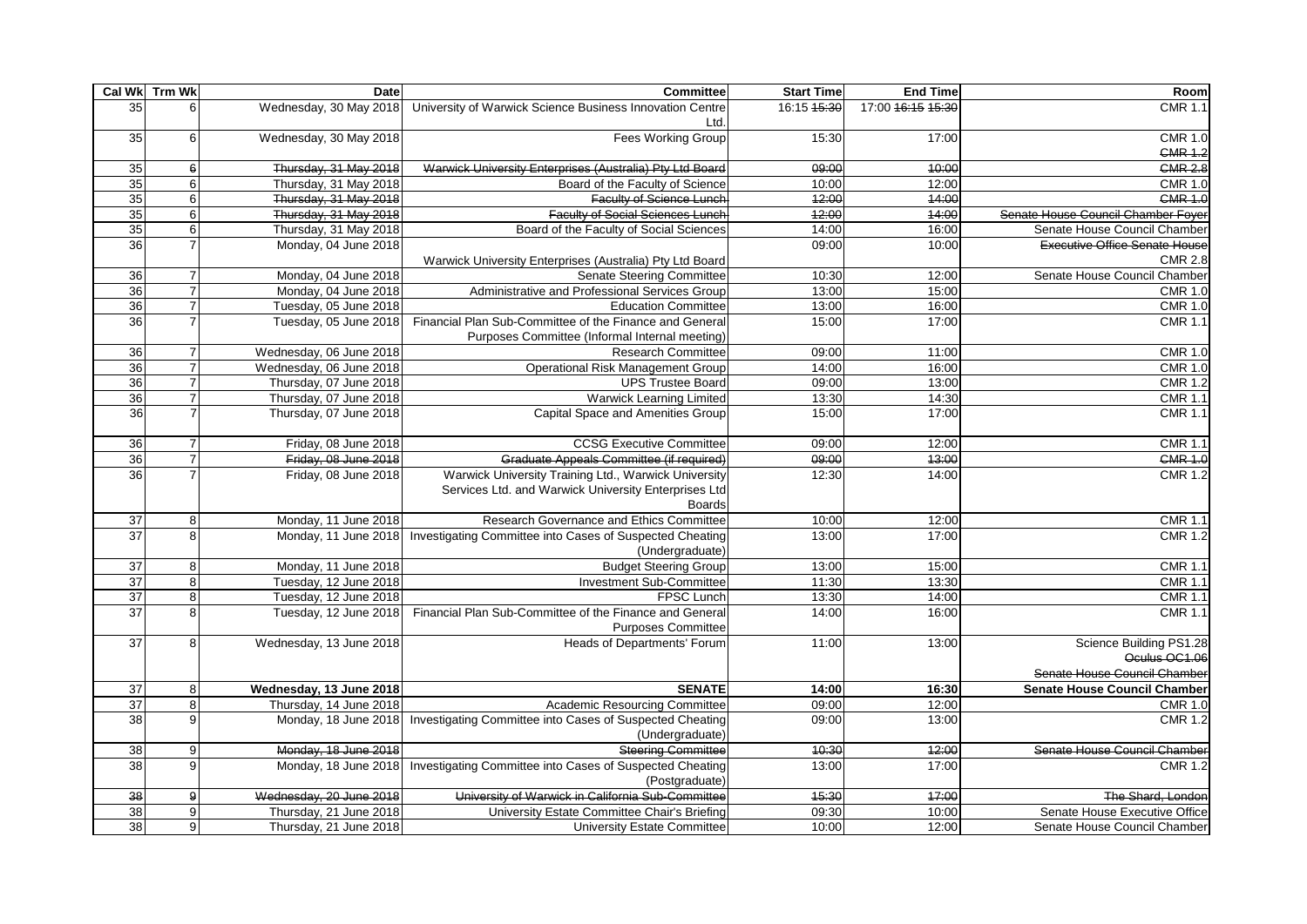|                 | Cal Wk Trm Wk  | <b>Date</b>                                    | Committee                                                                            | <b>Start Time</b> | <b>End Time</b>   | Room                                |
|-----------------|----------------|------------------------------------------------|--------------------------------------------------------------------------------------|-------------------|-------------------|-------------------------------------|
| 35              |                | Wednesday, 30 May 2018                         | University of Warwick Science Business Innovation Centre                             | 16:15 45:30       | 17:00 46:15 45:30 | <b>CMR 1.1</b>                      |
|                 |                |                                                | Ltd.                                                                                 |                   |                   |                                     |
| 35              | 6              | Wednesday, 30 May 2018                         | <b>Fees Working Group</b>                                                            | 15:30             | 17:00             | <b>CMR 1.0</b>                      |
|                 |                |                                                |                                                                                      |                   |                   | <b>CMR 1.2</b>                      |
| 35              | 6              | Thursday, 31 May 2018                          | Warwick University Enterprises (Australia) Pty Ltd Board                             | 09:00<br>10:00    | 40:00<br>12:00    | <b>CMR 2.8</b>                      |
| 35<br>35        | 6<br>6         | Thursday, 31 May 2018<br>Thursday, 31 May 2018 | Board of the Faculty of Science<br><b>Faculty of Science Lunch</b>                   | 42:00             | 44:00             | <b>CMR 1.0</b><br><b>CMR 1.0</b>    |
| 35              | 6              | Thursday, 31 May 2018                          | <b>Faculty of Social Sciences Lunch</b>                                              | 42:00             | 44:00             | Senate House Council Chamber Foyer  |
| 35              | 6              | Thursday, 31 May 2018                          | Board of the Faculty of Social Sciences                                              | 14:00             | 16:00             | Senate House Council Chamber        |
| 36              |                | Monday, 04 June 2018                           |                                                                                      | 09:00             | 10:00             | Executive Office Senate House       |
|                 |                |                                                | Warwick University Enterprises (Australia) Pty Ltd Board                             |                   |                   | <b>CMR 2.8</b>                      |
| 36              | $\overline{7}$ | Monday, 04 June 2018                           | <b>Senate Steering Committee</b>                                                     | 10:30             | 12:00             | Senate House Council Chamber        |
| 36              |                | Monday, 04 June 2018                           | Administrative and Professional Services Group                                       | 13:00             | 15:00             | <b>CMR 1.0</b>                      |
| $\overline{36}$ | $\overline{7}$ | Tuesday, 05 June 2018                          | <b>Education Committee</b>                                                           | 13:00             | 16:00             | <b>CMR 1.0</b>                      |
| 36              |                | Tuesday, 05 June 2018                          | Financial Plan Sub-Committee of the Finance and General                              | 15:00             | 17:00             | <b>CMR 1.1</b>                      |
|                 |                |                                                | Purposes Committee (Informal Internal meeting)                                       |                   |                   |                                     |
| $\overline{36}$ | $\overline{7}$ | Wednesday, 06 June 2018                        | <b>Research Committee</b>                                                            | 09:00             | 11:00             | <b>CMR 1.0</b>                      |
| 36              |                | Wednesday, 06 June 2018                        | <b>Operational Risk Management Group</b>                                             | 14:00             | 16:00             | <b>CMR 1.0</b>                      |
| 36              | $\overline{7}$ | Thursday, 07 June 2018                         | <b>UPS Trustee Board</b>                                                             | 09:00             | 13:00             | <b>CMR 1.2</b>                      |
| 36              | $\overline{7}$ | Thursday, 07 June 2018                         | <b>Warwick Learning Limited</b>                                                      | 13:30             | 14:30             | <b>CMR 1.1</b>                      |
| 36              |                | Thursday, 07 June 2018                         | Capital Space and Amenities Group                                                    | 15:00             | 17:00             | <b>CMR 1.1</b>                      |
| $\overline{36}$ | $\overline{7}$ | Friday, 08 June 2018                           | <b>CCSG Executive Committee</b>                                                      | 09:00             | 12:00             | <b>CMR 1.1</b>                      |
| 36              |                | Friday, 08 June 2018                           | Graduate Appeals Committee (if required)                                             | 09:00             | 43:00             | <b>CMR 1.0</b>                      |
| 36              |                | Friday, 08 June 2018                           | Warwick University Training Ltd., Warwick University                                 | 12:30             | 14:00             | <b>CMR 1.2</b>                      |
|                 |                |                                                | Services Ltd. and Warwick University Enterprises Ltd                                 |                   |                   |                                     |
|                 |                |                                                | <b>Boards</b>                                                                        |                   |                   |                                     |
| $\overline{37}$ | 8              | Monday, 11 June 2018                           | Research Governance and Ethics Committee                                             | 10:00             | 12:00             | <b>CMR 1.1</b>                      |
| 37              | 8              | Monday, 11 June 2018                           | Investigating Committee into Cases of Suspected Cheating                             | 13:00             | 17:00             | <b>CMR 1.2</b>                      |
|                 |                |                                                | (Undergraduate)                                                                      |                   |                   |                                     |
| $\overline{37}$ | 8              | Monday, 11 June 2018                           | <b>Budget Steering Group</b>                                                         | 13:00             | 15:00             | <b>CMR 1.1</b>                      |
| 37              | $\bf{8}$       | Tuesday, 12 June 2018                          | Investment Sub-Committee                                                             | 11:30             | 13:30             | $\overline{CMR}$ 1.1                |
| 37              | $\,8\,$        | Tuesday, 12 June 2018                          | FPSC Lunch                                                                           | 13:30             | 14:00             | <b>CMR 1.1</b>                      |
| 37              | 8              | Tuesday, 12 June 2018                          | Financial Plan Sub-Committee of the Finance and General<br><b>Purposes Committee</b> | 14:00             | 16:00             | <b>CMR 1.1</b>                      |
| 37              | 8              | Wednesday, 13 June 2018                        | <b>Heads of Departments' Forum</b>                                                   | 11:00             | 13:00             | Science Building PS1.28             |
|                 |                |                                                |                                                                                      |                   |                   | Oculus OC1.06                       |
|                 |                |                                                |                                                                                      |                   |                   | Senate House Council Chamber        |
| $\overline{37}$ | 8              | Wednesday, 13 June 2018                        | <b>SENATE</b>                                                                        | 14:00             | 16:30             | <b>Senate House Council Chamber</b> |
| 37              | 8              | Thursday, 14 June 2018                         | Academic Resourcing Committee                                                        | 09:00             | 12:00             | <b>CMR 1.0</b>                      |
| 38              | 9              | Monday, 18 June 2018                           | Investigating Committee into Cases of Suspected Cheating                             | 09:00             | 13:00             | <b>CMR 1.2</b>                      |
|                 |                |                                                | (Undergraduate)                                                                      |                   |                   |                                     |
| 38              | 9              | Monday, 18 June 2018                           | <b>Steering Committee</b>                                                            | 40:30             | 42:00             | Senate House Council Chamber        |
| 38              | 9              | Monday, 18 June 2018                           | Investigating Committee into Cases of Suspected Cheating                             | 13:00             | 17:00             | <b>CMR 1.2</b>                      |
|                 |                |                                                | (Postgraduate)                                                                       |                   |                   |                                     |
| 38              | 9              | Wednesday, 20 June 2018                        | University of Warwick in California Sub-Committee                                    | 45:30             | 47:00             | The Shard, Londor                   |
| 38              | 9              | Thursday, 21 June 2018                         | University Estate Committee Chair's Briefing                                         | 09:30             | 10:00             | Senate House Executive Office       |
| 38              | 9              | Thursday, 21 June 2018                         | <b>University Estate Committee</b>                                                   | 10:00             | 12:00             | Senate House Council Chamber        |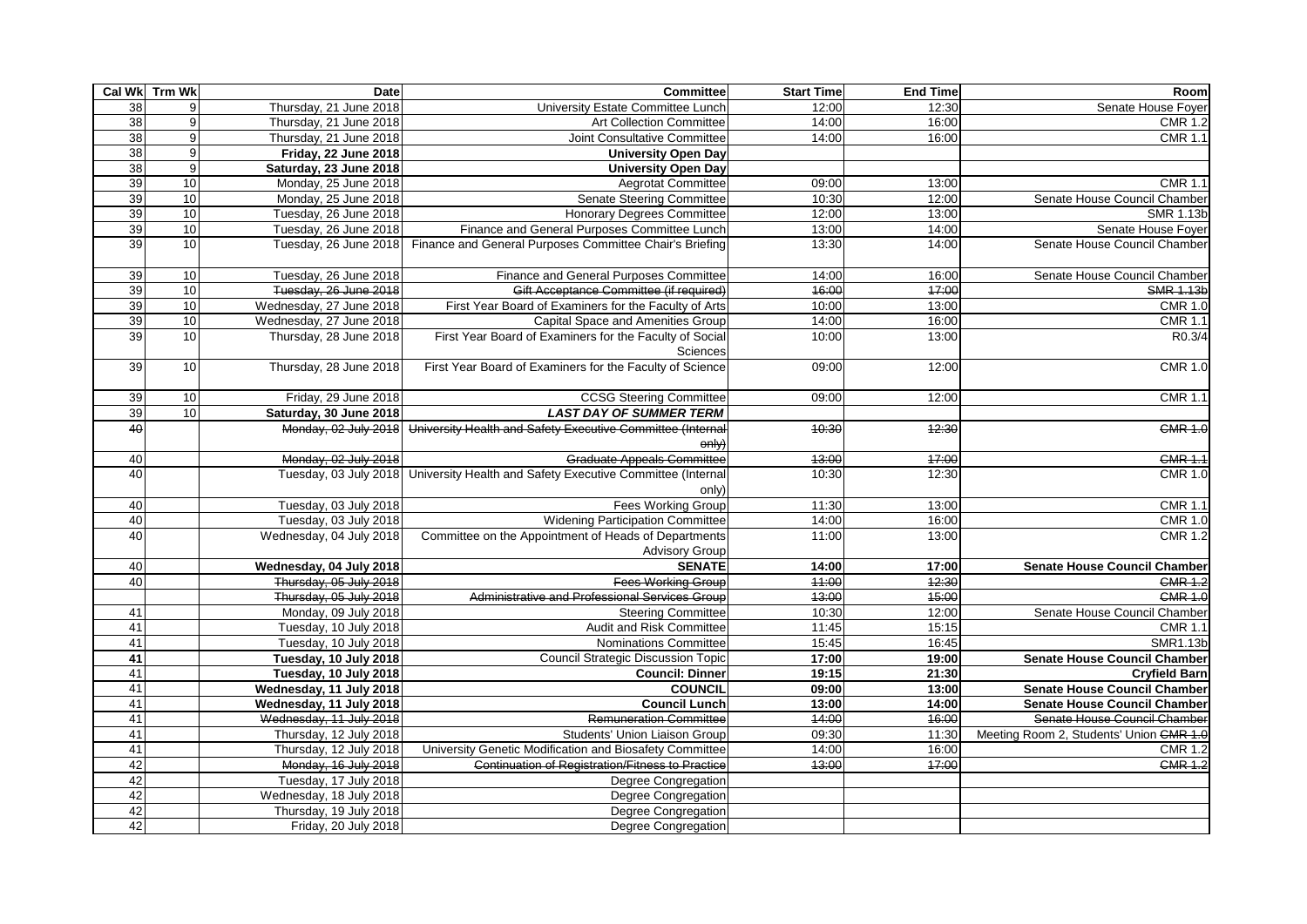|    | Cal Wk Trm Wk  | Date                    | Committee                                                                     | <b>Start Time</b> | <b>End Time</b> | Room                                    |
|----|----------------|-------------------------|-------------------------------------------------------------------------------|-------------------|-----------------|-----------------------------------------|
| 38 | $\overline{9}$ | Thursday, 21 June 2018  | University Estate Committee Lunch                                             | 12:00             | 12:30           | Senate House Foyer                      |
| 38 | 9              | Thursday, 21 June 2018  | <b>Art Collection Committee</b>                                               | 14:00             | 16:00           | <b>CMR 1.2</b>                          |
| 38 | 9              | Thursday, 21 June 2018  | Joint Consultative Committee                                                  | 14:00             | 16:00           | <b>CMR 1.1</b>                          |
| 38 | 9              | Friday, 22 June 2018    | <b>University Open Day</b>                                                    |                   |                 |                                         |
| 38 | 9              | Saturday, 23 June 2018  | <b>University Open Day</b>                                                    |                   |                 |                                         |
| 39 | 10             | Monday, 25 June 2018    | <b>Aegrotat Committee</b>                                                     | 09:00             | 13:00           | <b>CMR 1.1</b>                          |
| 39 | 10             | Monday, 25 June 2018    | <b>Senate Steering Committee</b>                                              | 10:30             | 12:00           | Senate House Council Chamber            |
| 39 | 10             | Tuesday, 26 June 2018   | <b>Honorary Degrees Committee</b>                                             | 12:00             | 13:00           | SMR 1.13b                               |
| 39 | 10             | Tuesday, 26 June 2018   | Finance and General Purposes Committee Lunch                                  | 13:00             | 14:00           | Senate House Foyer                      |
| 39 | 10             | Tuesday, 26 June 2018   | Finance and General Purposes Committee Chair's Briefing                       | 13:30             | 14:00           | Senate House Council Chamber            |
| 39 | 10             | Tuesday, 26 June 2018   | Finance and General Purposes Committee                                        | 14:00             | 16:00           | Senate House Council Chamber            |
| 39 | 10             | Tuesday, 26 June 2018   | Gift Acceptance Committee (if required)                                       | 46:00             | 47:00           | SMR 1.13b                               |
| 39 | 10             | Wednesday, 27 June 2018 | First Year Board of Examiners for the Faculty of Arts                         | 10:00             | 13:00           | <b>CMR 1.0</b>                          |
| 39 | 10             | Wednesday, 27 June 2018 | Capital Space and Amenities Group                                             | 14:00             | 16:00           | <b>CMR 1.1</b>                          |
| 39 | 10             | Thursday, 28 June 2018  | First Year Board of Examiners for the Faculty of Social<br>Sciences           | 10:00             | 13:00           | R0.3/4                                  |
| 39 | 10             | Thursday, 28 June 2018  | First Year Board of Examiners for the Faculty of Science                      | 09:00             | 12:00           | <b>CMR 1.0</b>                          |
|    |                |                         |                                                                               |                   |                 |                                         |
| 39 | 10             | Friday, 29 June 2018    | <b>CCSG Steering Committee</b>                                                | 09:00             | 12:00           | <b>CMR 1.1</b>                          |
| 39 | 10             | Saturday, 30 June 2018  | <b>LAST DAY OF SUMMER TERM</b>                                                |                   |                 |                                         |
| 40 |                | Monday, 02 July 2018    | University Health and Safety Executive Committee (Internal<br>$\Theta$ nly    | 40:30             | 12:30           | <b>CMR 1.0</b>                          |
| 40 |                | Monday, 02 July 2018    | <b>Graduate Appeals Committee</b>                                             | 43:00             | 47:00           | <b>CMR 1.1</b>                          |
| 40 |                | Tuesday, 03 July 2018   | University Health and Safety Executive Committee (Internal<br>only)           | 10:30             | 12:30           | <b>CMR 1.0</b>                          |
| 40 |                | Tuesday, 03 July 2018   | <b>Fees Working Group</b>                                                     | 11:30             | 13:00           | <b>CMR 1.1</b>                          |
| 40 |                | Tuesday, 03 July 2018   | <b>Widening Participation Committee</b>                                       | 14:00             | 16:00           | <b>CMR 1.0</b>                          |
| 40 |                | Wednesday, 04 July 2018 | Committee on the Appointment of Heads of Departments<br><b>Advisory Group</b> | 11:00             | 13:00           | <b>CMR 1.2</b>                          |
| 40 |                | Wednesday, 04 July 2018 | <b>SENATE</b>                                                                 | 14:00             | 17:00           | Senate House Council Chamber            |
| 40 |                | Thursday, 05 July 2018  | <b>Fees Working Group</b>                                                     | 44:00             | 42:30           | <b>CMR 1.2</b>                          |
|    |                | Thursday, 05 July 2018  | Administrative and Professional Services Group                                | 43:00             | 45:00           | <b>CMR 1.0</b>                          |
| 41 |                | Monday, 09 July 2018    | <b>Steering Committee</b>                                                     | 10:30             | 12:00           | Senate House Council Chamber            |
| 41 |                | Tuesday, 10 July 2018   | Audit and Risk Committee                                                      | 11:45             | 15:15           | <b>CMR 1.1</b>                          |
| 41 |                | Tuesday, 10 July 2018   | Nominations Committee                                                         | 15:45             | 16:45           | SMR1.13b                                |
| 41 |                | Tuesday, 10 July 2018   | <b>Council Strategic Discussion Topic</b>                                     | 17:00             | 19:00           | <b>Senate House Council Chamber</b>     |
| 41 |                | Tuesday, 10 July 2018   | <b>Council: Dinner</b>                                                        | 19:15             | 21:30           | <b>Cryfield Barn</b>                    |
| 41 |                | Wednesday, 11 July 2018 | <b>COUNCIL</b>                                                                | 09:00             | 13:00           | <b>Senate House Council Chamber</b>     |
| 41 |                | Wednesday, 11 July 2018 | <b>Council Lunch</b>                                                          | 13:00             | 14:00           | <b>Senate House Council Chamber</b>     |
| 41 |                | Wednesday, 11 July 2018 | <b>Remuneration Committee</b>                                                 | 44:00             | 46:00           | Senate House Council Chamber            |
| 41 |                | Thursday, 12 July 2018  | Students' Union Liaison Group                                                 | 09:30             | 11:30           | Meeting Room 2, Students' Union CMR 1.0 |
| 41 |                | Thursday, 12 July 2018  | University Genetic Modification and Biosafety Committee                       | 14:00             | 16:00           | <b>CMR 1.2</b>                          |
| 42 |                | Monday, 16 July 2018    | Continuation of Registration/Fitness to Practice                              | 13:00             | 47:00           | <b>CMR 1.2</b>                          |
| 42 |                | Tuesday, 17 July 2018   | Degree Congregation                                                           |                   |                 |                                         |
| 42 |                | Wednesday, 18 July 2018 | Degree Congregation                                                           |                   |                 |                                         |
| 42 |                | Thursday, 19 July 2018  | Degree Congregation                                                           |                   |                 |                                         |
| 42 |                | Friday, 20 July 2018    | Degree Congregation                                                           |                   |                 |                                         |